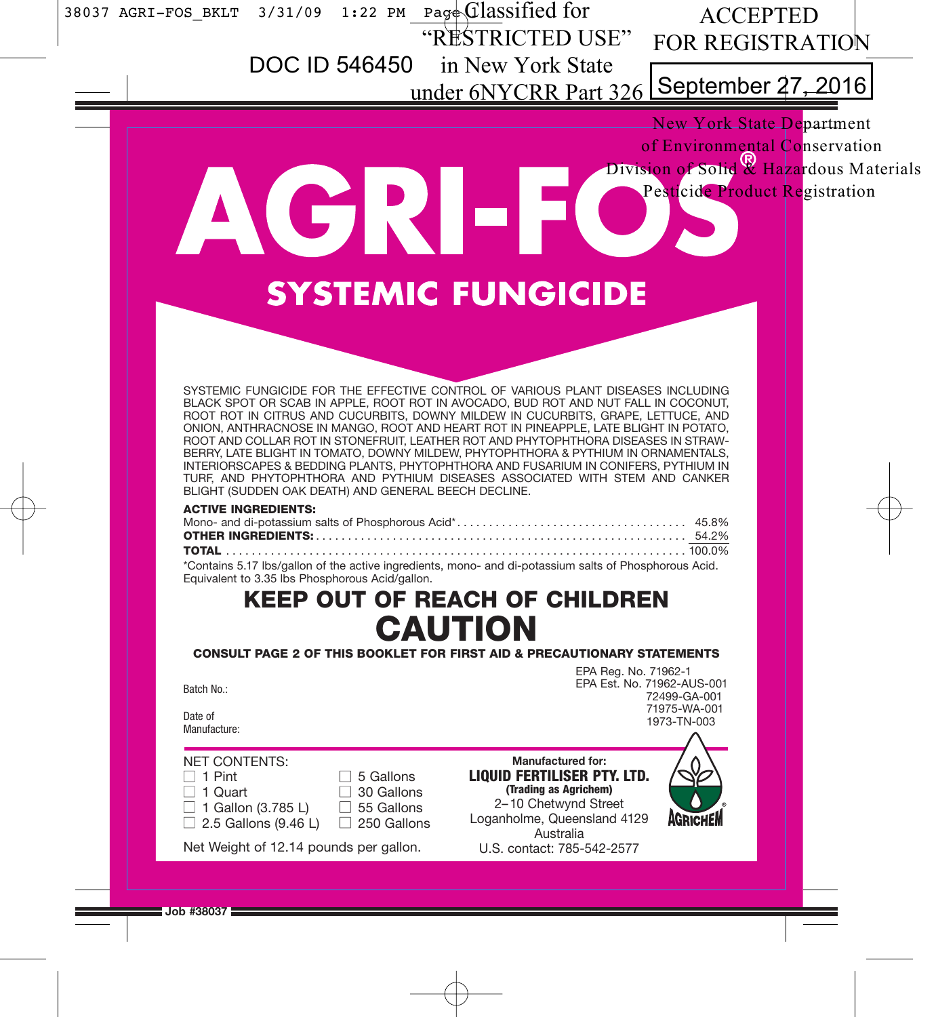$\overline{\phantom{a}}$ 

 $\begin{array}{c} \n\downarrow \\ \n\downarrow \\ \n\end{array}$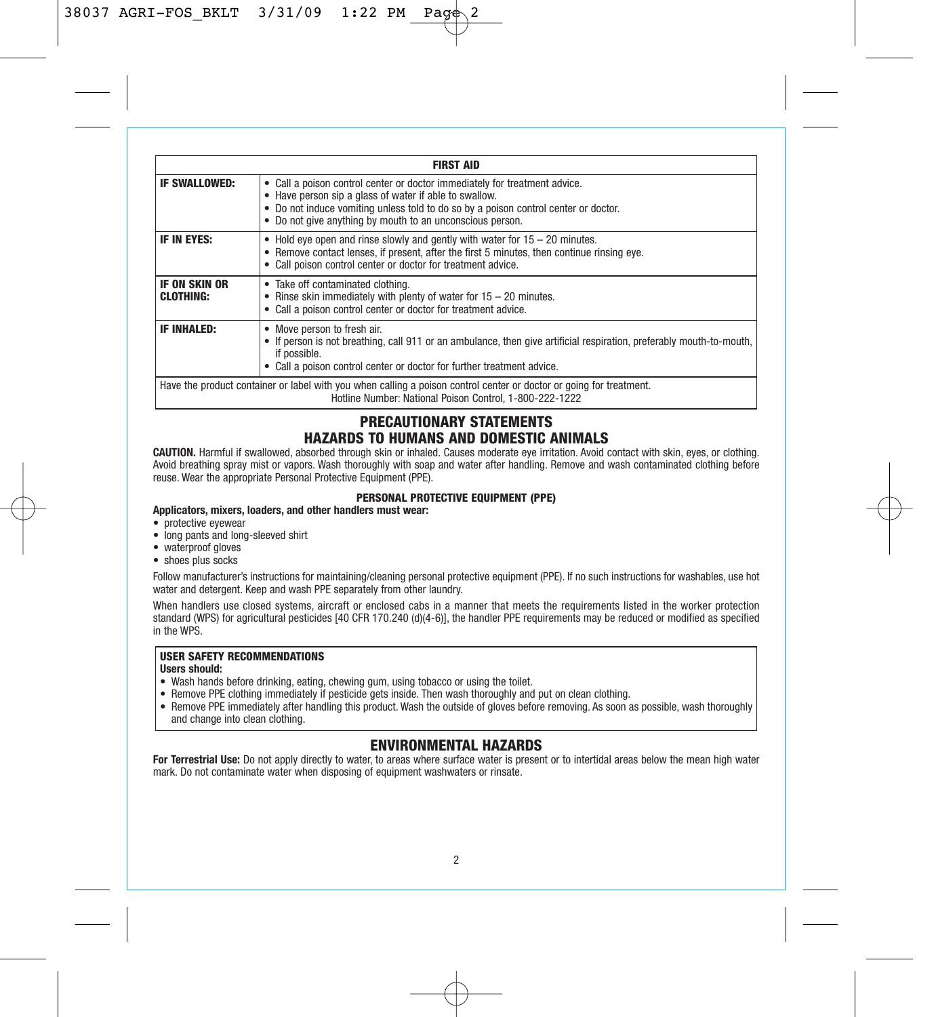|                                   | <b>FIRST AID</b>                                                                                                                                                                                                                                                                         |
|-----------------------------------|------------------------------------------------------------------------------------------------------------------------------------------------------------------------------------------------------------------------------------------------------------------------------------------|
| <b>IF SWALLOWED:</b>              | • Call a poison control center or doctor immediately for treatment advice.<br>• Have person sip a glass of water if able to swallow.<br>• Do not induce vomiting unless told to do so by a poison control center or doctor.<br>• Do not give anything by mouth to an unconscious person. |
| IF IN EYES:                       | $\bullet$ Hold eye open and rinse slowly and gently with water for $15 - 20$ minutes.<br>• Remove contact lenses, if present, after the first 5 minutes, then continue rinsing eve.<br>• Call poison control center or doctor for treatment advice.                                      |
| IF ON SKIN OR<br><b>CLOTHING:</b> | • Take off contaminated clothing.<br>• Rinse skin immediately with plenty of water for $15 - 20$ minutes.<br>• Call a poison control center or doctor for treatment advice.                                                                                                              |
| <b>IF INHALED:</b>                | • Move person to fresh air.<br>• If person is not breathing, call 911 or an ambulance, then give artificial respiration, preferably mouth-to-mouth,<br>if possible.<br>• Call a poison control center or doctor for further treatment advice.                                            |
|                                   | Have the product container or label with you when calling a poison control center or doctor or going for treatment.<br>Hotline Number: National Poison Control, 1-800-222-1222                                                                                                           |

# **PRECAUTIONARY STATEMENTS HAZARDS TO HUMANS AND DOMESTIC ANIMALS**

**CAUTION.** Harmful if swallowed, absorbed through skin or inhaled. Causes moderate eye irritation. Avoid contact with skin, eyes, or clothing. Avoid breathing spray mist or vapors. Wash thoroughly with soap and water after handling. Remove and wash contaminated clothing before reuse. Wear the appropriate Personal Protective Equipment (PPE).

#### **PERSONAL PROTECTIVE EQUIPMENT (PPE)**

**Applicators, mixers, loaders, and other handlers must wear:**

- protective eyewear
- long pants and long-sleeved shirt
- waterproof gloves
- shoes plus socks

Follow manufacturer's instructions for maintaining/cleaning personal protective equipment (PPE). If no such instructions for washables, use hot water and detergent. Keep and wash PPE separately from other laundry.

When handlers use closed systems, aircraft or enclosed cabs in a manner that meets the requirements listed in the worker protection standard (WPS) for agricultural pesticides [40 CFR 170.240 (d)(4-6)], the handler PPE requirements may be reduced or modified as specified in the WPS.

# **USER SAFETY RECOMMENDATIONS**

**Users should:**

- 
- Wash hands before drinking, eating, chewing gum, using tobacco or using the toilet. Remove PPE clothing immediately if pesticide gets inside. Then wash thoroughly and put on clean clothing.
- Remove PPE immediately after handling this product. Wash the outside of gloves before removing. As soon as possible, wash thoroughly and change into clean clothing.

# **ENVIRONMENTAL HAZARDS**

**For Terrestrial Use:** Do not apply directly to water, to areas where surface water is present or to intertidal areas below the mean high water mark. Do not contaminate water when disposing of equipment washwaters or rinsate.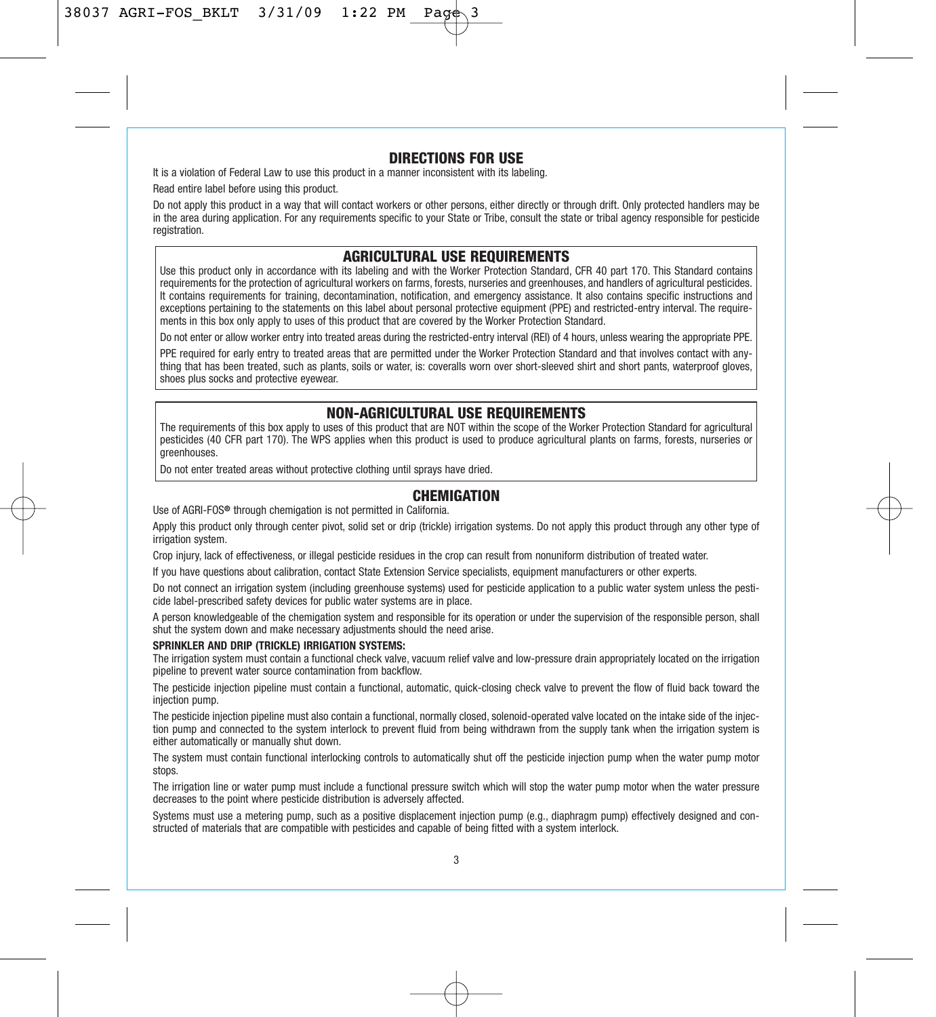## **DIRECTIONS FOR USE**

It is a violation of Federal Law to use this product in a manner inconsistent with its labeling.

Read entire label before using this product.

Do not apply this product in a way that will contact workers or other persons, either directly or through drift. Only protected handlers may be in the area during application. For any requirements specific to your State or Tribe, consult the state or tribal agency responsible for pesticide registration.

## **AGRICULTURAL USE REQUIREMENTS**

Use this product only in accordance with its labeling and with the Worker Protection Standard, CFR 40 part 170. This Standard contains requirements for the protection of agricultural workers on farms, forests, nurseries and greenhouses, and handlers of agricultural pesticides. It contains requirements for training, decontamination, notification, and emergency assistance. It also contains specific instructions and exceptions pertaining to the statements on this label about personal protective equipment (PPE) and restricted-entry interval. The requirements in this box only apply to uses of this product that are covered by the Worker Protection Standard.

Do not enter or allow worker entry into treated areas during the restricted-entry interval (REI) of 4 hours, unless wearing the appropriate PPE.

PPE required for early entry to treated areas that are permitted under the Worker Protection Standard and that involves contact with anything that has been treated, such as plants, soils or water, is: coveralls worn over short-sleeved shirt and short pants, waterproof gloves, shoes plus socks and protective eyewear.

# **NON-AGRICULTURAL USE REQUIREMENTS**

The requirements of this box apply to uses of this product that are NOT within the scope of the Worker Protection Standard for agricultural pesticides (40 CFR part 170). The WPS applies when this product is used to produce agricultural plants on farms, forests, nurseries or greenhouses.

Do not enter treated areas without protective clothing until sprays have dried.

# **CHEMIGATION**

Use of AGRI-FOS**®** through chemigation is not permitted in California.

Apply this product only through center pivot, solid set or drip (trickle) irrigation systems. Do not apply this product through any other type of irrigation system.

Crop injury, lack of effectiveness, or illegal pesticide residues in the crop can result from nonuniform distribution of treated water.

If you have questions about calibration, contact State Extension Service specialists, equipment manufacturers or other experts.

Do not connect an irrigation system (including greenhouse systems) used for pesticide application to a public water system unless the pesticide label-prescribed safety devices for public water systems are in place.

A person knowledgeable of the chemigation system and responsible for its operation or under the supervision of the responsible person, shall shut the system down and make necessary adjustments should the need arise.

#### **SPRINKLER AND DRIP (TRICKLE) IRRIGATION SYSTEMS:**

The irrigation system must contain a functional check valve, vacuum relief valve and low-pressure drain appropriately located on the irrigation pipeline to prevent water source contamination from backflow.

The pesticide injection pipeline must contain a functional, automatic, quick-closing check valve to prevent the flow of fluid back toward the injection pump.

The pesticide injection pipeline must also contain a functional, normally closed, solenoid-operated valve located on the intake side of the injection pump and connected to the system interlock to prevent fluid from being withdrawn from the supply tank when the irrigation system is either automatically or manually shut down.

The system must contain functional interlocking controls to automatically shut off the pesticide injection pump when the water pump motor stops.

The irrigation line or water pump must include a functional pressure switch which will stop the water pump motor when the water pressure decreases to the point where pesticide distribution is adversely affected.

Systems must use a metering pump, such as a positive displacement injection pump (e.g., diaphragm pump) effectively designed and constructed of materials that are compatible with pesticides and capable of being fitted with a system interlock.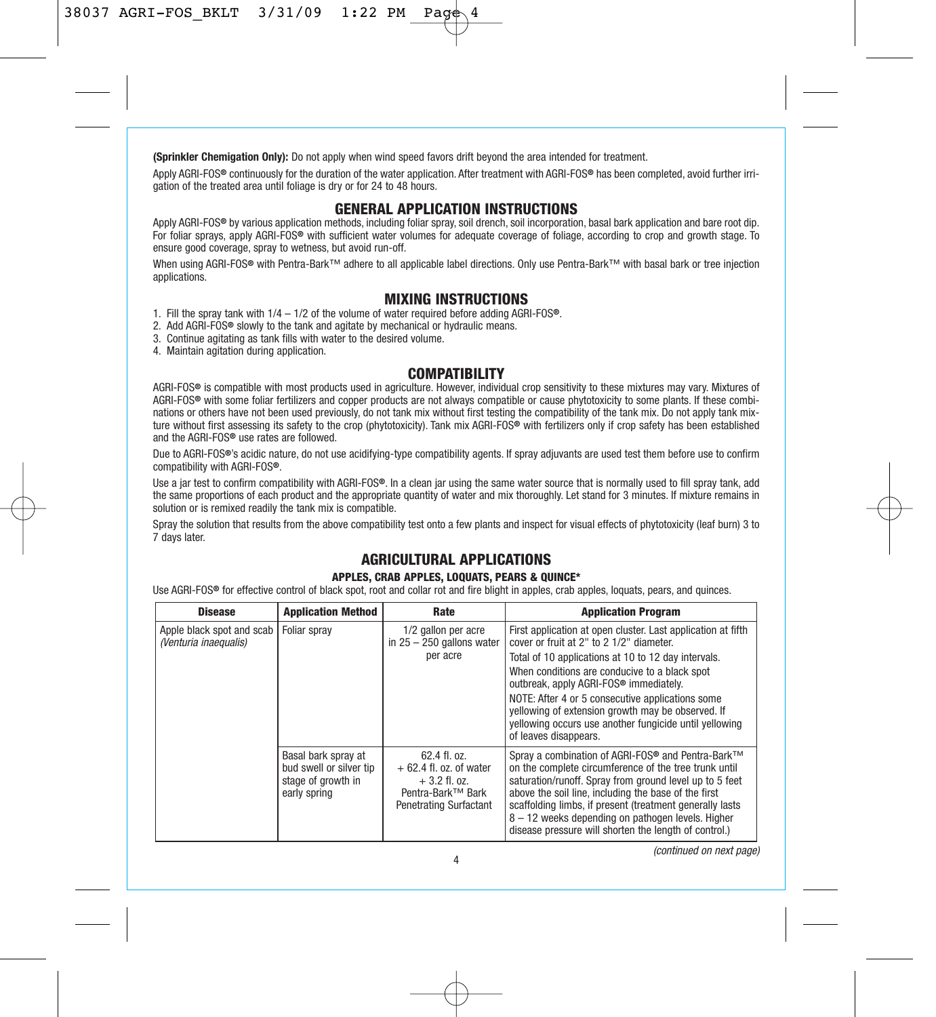**(Sprinkler Chemigation Only):** Do not apply when wind speed favors drift beyond the area intended for treatment.

Apply AGRI-FOS**®** continuously for the duration of the water application. After treatment with AGRI-FOS**®** has been completed, avoid further irrigation of the treated area until foliage is dry or for 24 to 48 hours.

## **GENERAL APPLICATION INSTRUCTIONS**

Apply AGRI-FOS**®** by various application methods, including foliar spray, soil drench, soil incorporation, basal bark application and bare root dip. For foliar sprays, apply AGRI-FOS**®** with sufficient water volumes for adequate coverage of foliage, according to crop and growth stage. To ensure good coverage, spray to wetness, but avoid run-off.

When using AGRI-FOS**®** with Pentra-Bark™ adhere to all applicable label directions. Only use Pentra-Bark™ with basal bark or tree injection applications.

# **MIXING INSTRUCTIONS**

- 1. Fill the spray tank with 1/4 1/2 of the volume of water required before adding AGRI-FOS**®**.
- 2. Add AGRI-FOS**®** slowly to the tank and agitate by mechanical or hydraulic means.
- 3. Continue agitating as tank fills with water to the desired volume.

4. Maintain agitation during application.

# **COMPATIBILITY**

AGRI-FOS**®** is compatible with most products used in agriculture. However, individual crop sensitivity to these mixtures may vary. Mixtures of AGRI-FOS**®** with some foliar fertilizers and copper products are not always compatible or cause phytotoxicity to some plants. If these combinations or others have not been used previously, do not tank mix without first testing the compatibility of the tank mix. Do not apply tank mixture without first assessing its safety to the crop (phytotoxicity). Tank mix AGRI-FOS**®** with fertilizers only if crop safety has been established and the AGRI-FOS**®** use rates are followed.

Due to AGRI-FOS**®**'s acidic nature, do not use acidifying-type compatibility agents. If spray adjuvants are used test them before use to confirm compatibility with AGRI-FOS**®**.

Use a jar test to confirm compatibility with AGRI-FOS**®**. In a clean jar using the same water source that is normally used to fill spray tank, add the same proportions of each product and the appropriate quantity of water and mix thoroughly. Let stand for 3 minutes. If mixture remains in solution or is remixed readily the tank mix is compatible.

Spray the solution that results from the above compatibility test onto a few plants and inspect for visual effects of phytotoxicity (leaf burn) 3 to 7 days later.

# **AGRICULTURAL APPLICATIONS**

#### **APPLES, CRAB APPLES, LOQUATS, PEARS & QUINCE\***

Use AGRI-FOS**®** for effective control of black spot, root and collar rot and fire blight in apples, crab apples, loquats, pears, and quinces.

| <b>Disease</b>                                     | <b>Application Method</b>                                                            | Rate                                                                                                           | <b>Application Program</b>                                                                                                                                                                                                                                                                                                                                                                                                                             |
|----------------------------------------------------|--------------------------------------------------------------------------------------|----------------------------------------------------------------------------------------------------------------|--------------------------------------------------------------------------------------------------------------------------------------------------------------------------------------------------------------------------------------------------------------------------------------------------------------------------------------------------------------------------------------------------------------------------------------------------------|
| Apple black spot and scab<br>(Venturia inaequalis) | Foliar spray                                                                         | 1/2 gallon per acre<br>in $25 - 250$ gallons water<br>per acre                                                 | First application at open cluster. Last application at fifth<br>cover or fruit at 2" to 2 1/2" diameter.<br>Total of 10 applications at 10 to 12 day intervals.<br>When conditions are conducive to a black spot<br>outbreak, apply AGRI-FOS® immediately.<br>NOTE: After 4 or 5 consecutive applications some<br>yellowing of extension growth may be observed. If<br>vellowing occurs use another fungicide until vellowing<br>of leaves disappears. |
|                                                    | Basal bark spray at<br>bud swell or silver tip<br>stage of growth in<br>early spring | $62.4$ fl. $0z$ .<br>$+62.4$ fl. oz. of water<br>$+3.2$ fl. oz.<br>Pentra-Bark™ Bark<br>Penetrating Surfactant | Spray a combination of AGRI-FOS <sup>®</sup> and Pentra-Bark™<br>on the complete circumference of the tree trunk until<br>saturation/runoff. Spray from ground level up to 5 feet<br>above the soil line, including the base of the first<br>scaffolding limbs, if present (treatment generally lasts)<br>8 - 12 weeks depending on pathogen levels. Higher<br>disease pressure will shorten the length of control.)                                   |

(continued on next page)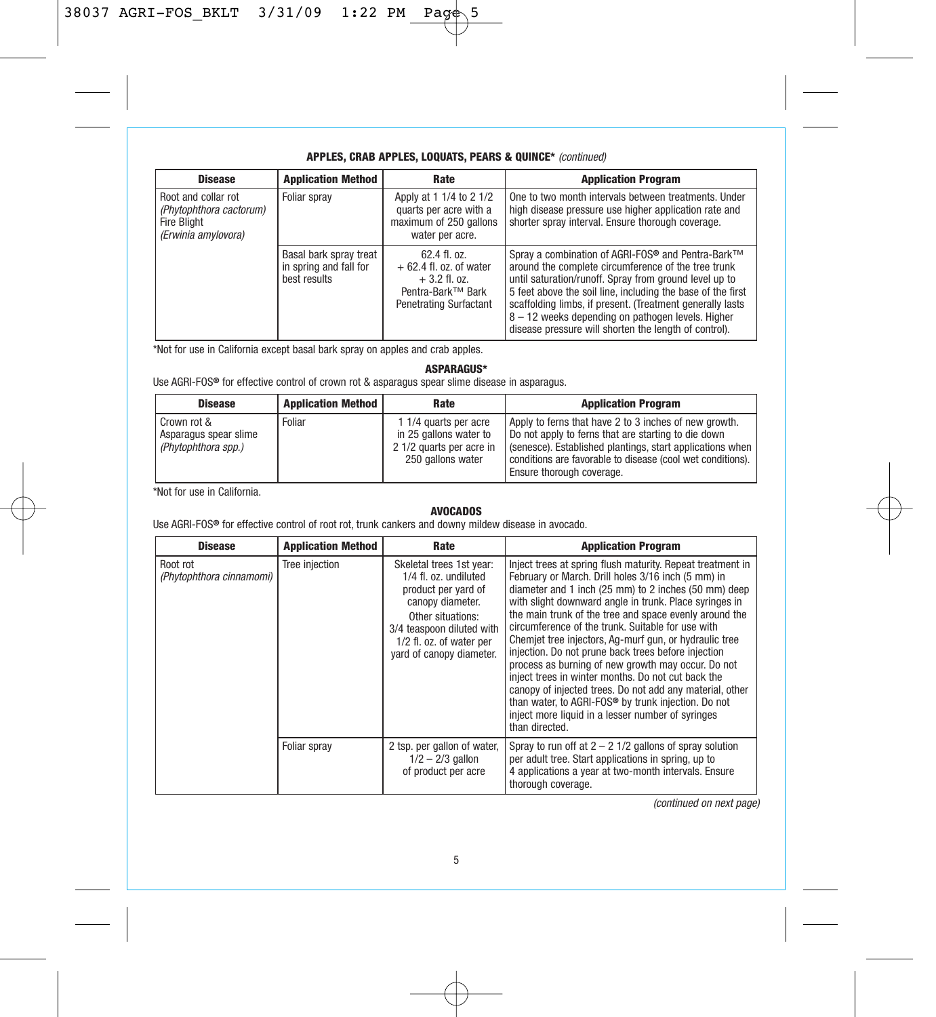# **APPLES, CRAB APPLES, LOQUATS, PEARS & QUINCE\*** (continued)

| <b>Disease</b>                                                                              | <b>Application Method</b>                                        | Rate                                                                                                           | <b>Application Program</b>                                                                                                                                                                                                                                                                                                                                                                                                           |
|---------------------------------------------------------------------------------------------|------------------------------------------------------------------|----------------------------------------------------------------------------------------------------------------|--------------------------------------------------------------------------------------------------------------------------------------------------------------------------------------------------------------------------------------------------------------------------------------------------------------------------------------------------------------------------------------------------------------------------------------|
| Root and collar rot<br>(Phytophthora cactorum)<br><b>Fire Blight</b><br>(Erwinia amylovora) | Foliar spray                                                     | Apply at 1 1/4 to 2 1/2<br>quarts per acre with a<br>maximum of 250 gallons<br>water per acre.                 | One to two month intervals between treatments. Under<br>high disease pressure use higher application rate and<br>shorter spray interval. Ensure thorough coverage.                                                                                                                                                                                                                                                                   |
|                                                                                             | Basal bark spray treat<br>in spring and fall for<br>best results | $62.4$ fl. $0z$ .<br>$+62.4$ fl. oz. of water<br>$+3.2$ fl. oz.<br>Pentra-Bark™ Bark<br>Penetrating Surfactant | Sprav a combination of AGRI-FOS <sup>®</sup> and Pentra-Bark <sup>™</sup><br>around the complete circumference of the tree trunk<br>until saturation/runoff. Spray from ground level up to<br>5 feet above the soil line, including the base of the first<br>scaffolding limbs, if present. (Treatment generally lasts<br>8 - 12 weeks depending on pathogen levels. Higher<br>disease pressure will shorten the length of control). |

\*Not for use in California except basal bark spray on apples and crab apples.

**ASPARAGUS\***

Use AGRI-FOS**®** for effective control of crown rot & asparagus spear slime disease in asparagus.

| <b>Disease</b>                                              | <b>Application Method</b> | Rate                                                                                             | <b>Application Program</b>                                                                                                                                                                                                                                           |
|-------------------------------------------------------------|---------------------------|--------------------------------------------------------------------------------------------------|----------------------------------------------------------------------------------------------------------------------------------------------------------------------------------------------------------------------------------------------------------------------|
| Crown rot &<br>Asparagus spear slime<br>(Phytophthora spp.) | Foliar                    | 1 1/4 quarts per acre<br>in 25 gallons water to<br>2 1/2 quarts per acre in<br>250 gallons water | Apply to ferns that have 2 to 3 inches of new growth.<br>Do not apply to ferns that are starting to die down<br>(senesce). Established plantings, start applications when<br>conditions are favorable to disease (cool wet conditions).<br>Ensure thorough coverage. |

\*Not for use in California.

## **AVOCADOS**

Use AGRI-FOS**®** for effective control of root rot, trunk cankers and downy mildew disease in avocado.

| <b>Disease</b>                       | <b>Application Method</b> | Rate                                                                                                                                                                                                   | <b>Application Program</b>                                                                                                                                                                                                                                                                                                                                                                                                                                                                                                                                                                                                                                                                                                                                                           |
|--------------------------------------|---------------------------|--------------------------------------------------------------------------------------------------------------------------------------------------------------------------------------------------------|--------------------------------------------------------------------------------------------------------------------------------------------------------------------------------------------------------------------------------------------------------------------------------------------------------------------------------------------------------------------------------------------------------------------------------------------------------------------------------------------------------------------------------------------------------------------------------------------------------------------------------------------------------------------------------------------------------------------------------------------------------------------------------------|
| Root rot<br>(Phytophthora cinnamomi) | Tree injection            | Skeletal trees 1st year:<br>1/4 fl. oz. undiluted<br>product per yard of<br>canopy diameter.<br>Other situations:<br>3/4 teaspoon diluted with<br>1/2 fl. oz. of water per<br>vard of canopy diameter. | Inject trees at spring flush maturity. Repeat treatment in<br>February or March. Drill holes 3/16 inch (5 mm) in<br>diameter and 1 inch (25 mm) to 2 inches (50 mm) deep<br>with slight downward angle in trunk. Place syringes in<br>the main trunk of the tree and space evenly around the<br>circumference of the trunk. Suitable for use with<br>Chemiet tree injectors, Ag-murf gun, or hydraulic tree<br>injection. Do not prune back trees before injection<br>process as burning of new growth may occur. Do not<br>inject trees in winter months. Do not cut back the<br>canopy of injected trees. Do not add any material, other<br>than water, to AGRI-FOS <sup>®</sup> by trunk injection. Do not<br>inject more liquid in a lesser number of syringes<br>than directed. |
|                                      | Foliar spray              | 2 tsp. per gallon of water,<br>$1/2 - 2/3$ gallon<br>of product per acre                                                                                                                               | Spray to run off at $2 - 2$ 1/2 gallons of spray solution<br>per adult tree. Start applications in spring, up to<br>4 applications a year at two-month intervals. Ensure<br>thorough coverage.                                                                                                                                                                                                                                                                                                                                                                                                                                                                                                                                                                                       |

(continued on next page)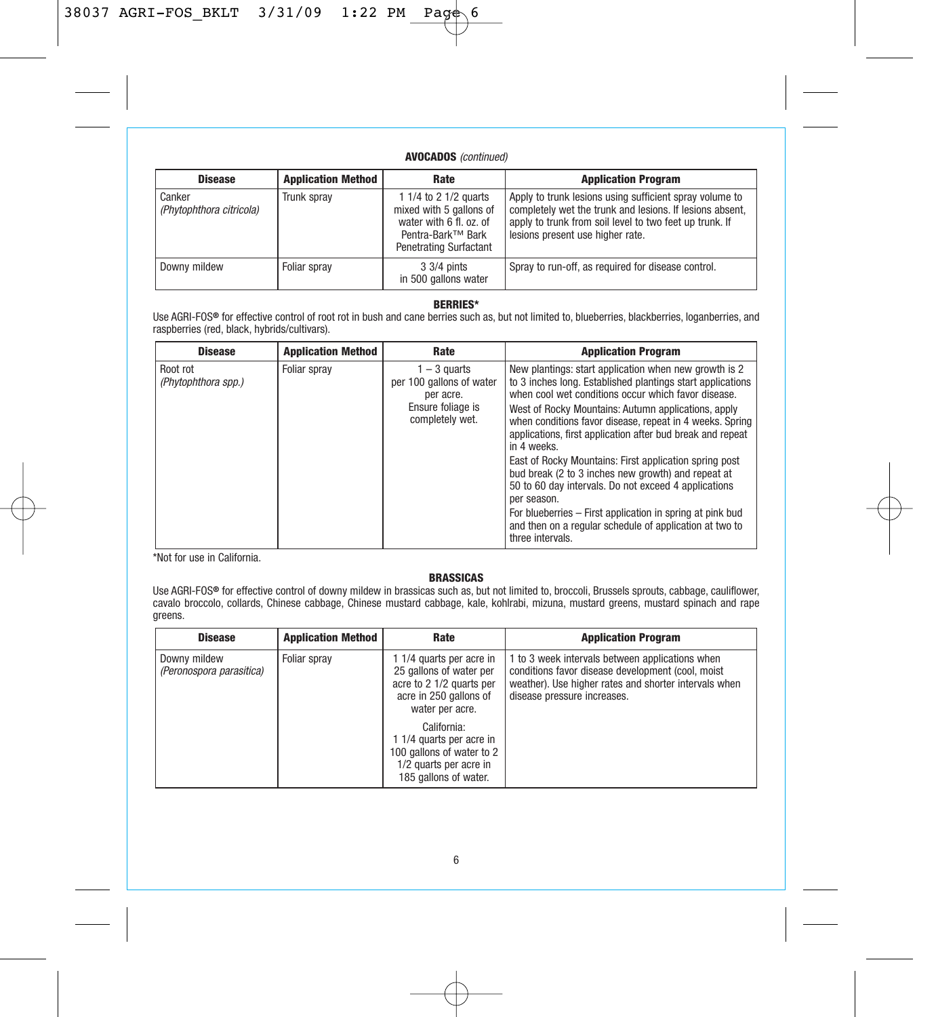# **AVOCADOS** (continued)

| <b>Disease</b>                     | <b>Application Method</b> | Rate                                                                                                                       | <b>Application Program</b>                                                                                                                                                                                         |
|------------------------------------|---------------------------|----------------------------------------------------------------------------------------------------------------------------|--------------------------------------------------------------------------------------------------------------------------------------------------------------------------------------------------------------------|
| Canker<br>(Phytophthora citricola) | Trunk spray               | 1 1/4 to 2 1/2 quarts<br>mixed with 5 gallons of<br>water with 6 fl. oz. of<br>Pentra-Bark™ Bark<br>Penetrating Surfactant | Apply to trunk lesions using sufficient spray volume to<br>completely wet the trunk and lesions. If lesions absent,<br>apply to trunk from soil level to two feet up trunk. If<br>lesions present use higher rate. |
| Downy mildew                       | Foliar sprav              | 3 3/4 pints<br>in 500 gallons water                                                                                        | Spray to run-off, as required for disease control.                                                                                                                                                                 |

#### **BERRIES\***

Use AGRI-FOS**®** for effective control of root rot in bush and cane berries such as, but not limited to, blueberries, blackberries, loganberries, and raspberries (red, black, hybrids/cultivars).

| <b>Disease</b>                  | <b>Application Method</b> | Rate                                                  | <b>Application Program</b>                                                                                                                                                                   |
|---------------------------------|---------------------------|-------------------------------------------------------|----------------------------------------------------------------------------------------------------------------------------------------------------------------------------------------------|
| Root rot<br>(Phytophthora spp.) | Foliar sprav              | 1 – 3 quarts<br>per 100 gallons of water<br>per acre. | New plantings: start application when new growth is 2<br>to 3 inches long. Established plantings start applications<br>when cool wet conditions occur which favor disease.                   |
|                                 |                           | Ensure foliage is<br>completely wet.                  | West of Rocky Mountains: Autumn applications, apply<br>when conditions favor disease, repeat in 4 weeks. Spring<br>applications, first application after bud break and repeat<br>in 4 weeks. |
|                                 |                           |                                                       | East of Rocky Mountains: First application spring post<br>bud break (2 to 3 inches new growth) and repeat at<br>50 to 60 day intervals. Do not exceed 4 applications<br>per season.          |
|                                 |                           |                                                       | For blueberries – First application in spring at pink bud<br>and then on a regular schedule of application at two to<br>three intervals.                                                     |

\*Not for use in California.

#### **BRASSICAS**

Use AGRI-FOS® for effective control of downy mildew in brassicas such as, but not limited to, broccoli, Brussels sprouts, cabbage, cauliflower,<br>cavalo broccolo, collards, Chinese cabbage, Chinese mustard cabbage, kale, ko greens.

| <b>Disease</b>                           | <b>Application Method</b> | Rate                                                                                                                         | <b>Application Program</b>                                                                                                                                                                   |
|------------------------------------------|---------------------------|------------------------------------------------------------------------------------------------------------------------------|----------------------------------------------------------------------------------------------------------------------------------------------------------------------------------------------|
| Downy mildew<br>(Peronospora parasitica) | Foliar spray              | 1 1/4 quarts per acre in<br>25 gallons of water per<br>acre to 2 1/2 quarts per<br>acre in 250 gallons of<br>water per acre. | 1 to 3 week intervals between applications when<br>conditions favor disease development (cool, moist<br>weather). Use higher rates and shorter intervals when<br>disease pressure increases. |
|                                          |                           | California:<br>1 1/4 quarts per acre in<br>100 gallons of water to 2<br>1/2 quarts per acre in<br>185 gallons of water.      |                                                                                                                                                                                              |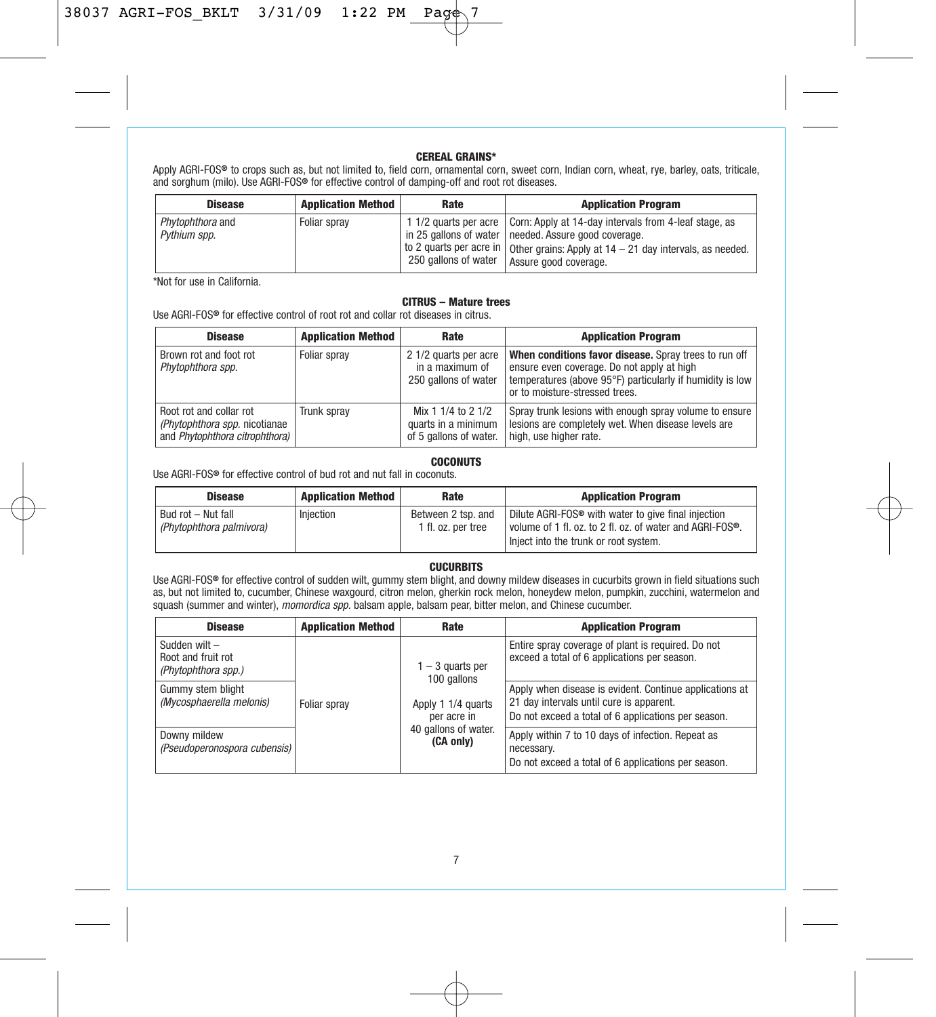#### **CEREAL GRAINS\***

Apply AGRI-FOS**®** to crops such as, but not limited to, field corn, ornamental corn, sweet corn, Indian corn, wheat, rye, barley, oats, triticale, and sorghum (milo). Use AGRI-FOS**®** for effective control of damping-off and root rot diseases.

| <b>Disease</b>                   | <b>Application Method</b> | Rate                 | <b>Application Program</b>                                                                                                                                                                                                                              |
|----------------------------------|---------------------------|----------------------|---------------------------------------------------------------------------------------------------------------------------------------------------------------------------------------------------------------------------------------------------------|
| Phytophthora and<br>Pythium spp. | Foliar spray              | 250 gallons of water | 11/2 quarts per acre   Corn: Apply at 14-day intervals from 4-leaf stage, as<br>in 25 gallons of water I needed. Assure good coverage.<br>I to 2 quarts per acre in   Other grains: Apply at 14 - 21 day intervals, as needed.<br>Assure good coverage. |

\*Not for use in California.

# **CITRUS – Mature trees**

Use AGRI-FOS**®** for effective control of root rot and collar rot diseases in citrus.

| <b>Disease</b>                                                                             | <b>Application Method</b> | Rate                                                                | <b>Application Program</b>                                                                                                                                                                         |
|--------------------------------------------------------------------------------------------|---------------------------|---------------------------------------------------------------------|----------------------------------------------------------------------------------------------------------------------------------------------------------------------------------------------------|
| Brown rot and foot rot<br>Phytophthora spp.                                                | Foliar sprav              | 2 1/2 quarts per acre<br>in a maximum of<br>250 gallons of water    | When conditions favor disease. Spray trees to run off<br>ensure even coverage. Do not apply at high<br>temperatures (above 95°F) particularly if humidity is low<br>or to moisture-stressed trees. |
| Root rot and collar rot<br>(Phytophthora spp. nicotianae<br>and Phytophthora citrophthora) | Trunk sprav               | Mix 1 1/4 to 2 1/2<br>quarts in a minimum<br>of 5 gallons of water. | Spray trunk lesions with enough spray volume to ensure<br>lesions are completely wet. When disease levels are<br>high, use higher rate.                                                            |

#### **COCONUTS**

Use AGRI-FOS**®** for effective control of bud rot and nut fall in coconuts.

| <b>Disease</b>                                 | <b>Application Method</b> | Rate                                     | <b>Application Program</b>                                                                                                                                             |
|------------------------------------------------|---------------------------|------------------------------------------|------------------------------------------------------------------------------------------------------------------------------------------------------------------------|
| Bud rot - Nut fall<br>(Phytophthora palmivora) | Injection                 | Between 2 tsp. and<br>1 fl. oz. per tree | Dilute AGRI-FOS <sup>®</sup> with water to give final injection<br>l volume of 1 fl. oz. to 2 fl. oz. of water and AGRI-FOS®.<br>Iniect into the trunk or root system. |

# **CUCURBITS**

Use AGRI-FOS**®** for effective control of sudden wilt, gummy stem blight, and downy mildew diseases in cucurbits grown in field situations such as, but not limited to, cucumber, Chinese waxgourd, citron melon, gherkin rock melon, honeydew melon, pumpkin, zucchini, watermelon and squash (summer and winter), *momordica spp.* balsam apple, balsam pear, bitter melon, and Chinese cucumber.

| <b>Disease</b>                                             | <b>Application Method</b> | Rate                                                                   | <b>Application Program</b>                                                                                                                                 |
|------------------------------------------------------------|---------------------------|------------------------------------------------------------------------|------------------------------------------------------------------------------------------------------------------------------------------------------------|
| Sudden wilt -<br>Root and fruit rot<br>(Phytophthora spp.) | Foliar sprav              | $1 - 3$ quarts per<br>100 gallons<br>Apply 1 1/4 quarts<br>per acre in | Entire spray coverage of plant is required. Do not<br>exceed a total of 6 applications per season.                                                         |
| Gummy stem blight<br>(Mycosphaerella melonis)              |                           |                                                                        | Apply when disease is evident. Continue applications at<br>21 day intervals until cure is apparent.<br>Do not exceed a total of 6 applications per season. |
| Downy mildew<br>(Pseudoperonospora cubensis)               |                           | 40 gallons of water.<br>(CA only)                                      | Apply within 7 to 10 days of infection. Repeat as<br>necessary.<br>Do not exceed a total of 6 applications per season.                                     |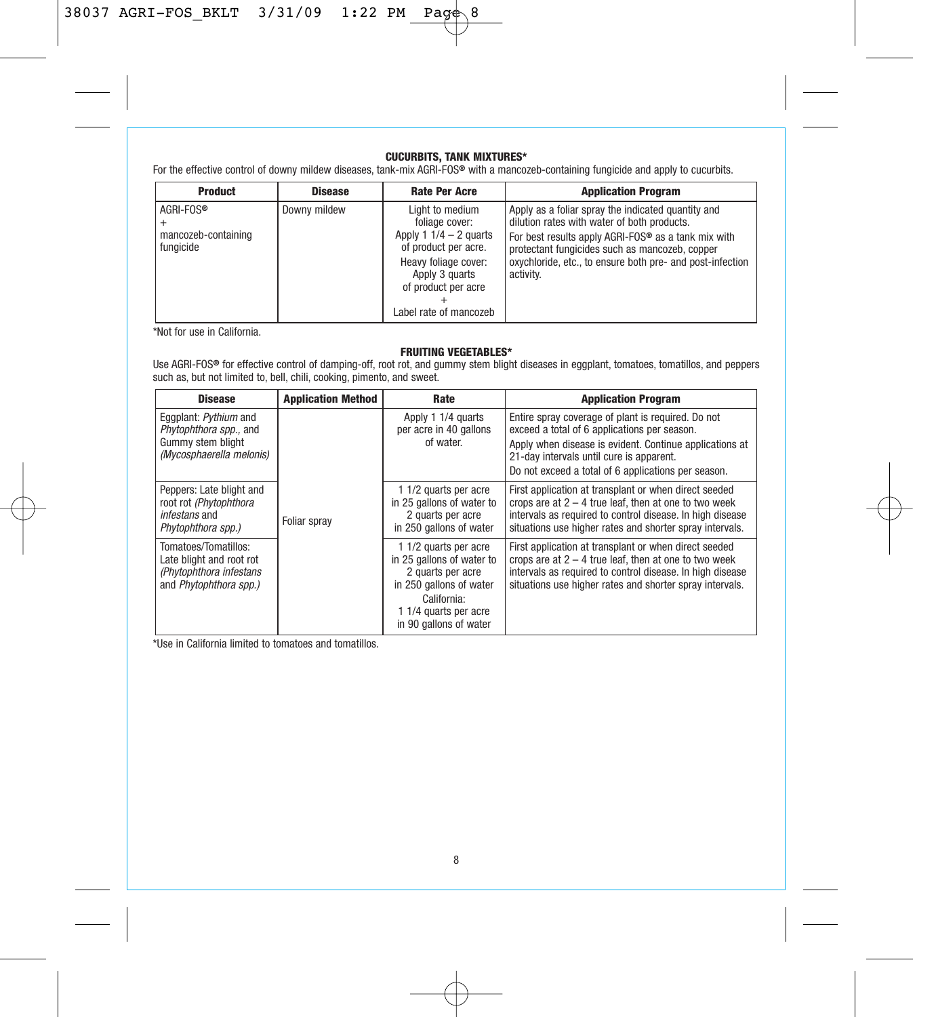# **CUCURBITS, TANK MIXTURES\***

For the effective control of downy mildew diseases, tank-mix AGRI-FOS**®** with a mancozeb-containing fungicide and apply to cucurbits.

| <b>Product</b>                                | <b>Disease</b> | <b>Rate Per Acre</b>                                                                                                                                                             | <b>Application Program</b>                                                                                                                                                                                                                                                           |
|-----------------------------------------------|----------------|----------------------------------------------------------------------------------------------------------------------------------------------------------------------------------|--------------------------------------------------------------------------------------------------------------------------------------------------------------------------------------------------------------------------------------------------------------------------------------|
| AGRI-FOS®<br>mancozeb-containing<br>fungicide | Downy mildew   | Light to medium<br>foliage cover:<br>Apply 1 $1/4 - 2$ quarts<br>of product per acre.<br>Heavy foliage cover:<br>Apply 3 quarts<br>of product per acre<br>Label rate of mancozeb | Apply as a foliar spray the indicated quantity and<br>dilution rates with water of both products.<br>For best results apply AGRI-FOS® as a tank mix with<br>protectant fungicides such as mancozeb, copper<br>oxychloride, etc., to ensure both pre- and post-infection<br>activity. |

\*Not for use in California.

# **FRUITING VEGETABLES\***

Use AGRI-FOS**®** for effective control of damping-off, root rot, and gummy stem blight diseases in eggplant, tomatoes, tomatillos, and peppers such as, but not limited to, bell, chili, cooking, pimento, and sweet.

| <b>Disease</b>                                                                                         | <b>Application Method</b> | Rate                                                                                                                                                                 | <b>Application Program</b>                                                                                                                                                                                                                                       |
|--------------------------------------------------------------------------------------------------------|---------------------------|----------------------------------------------------------------------------------------------------------------------------------------------------------------------|------------------------------------------------------------------------------------------------------------------------------------------------------------------------------------------------------------------------------------------------------------------|
| Eqqplant: Pythium and<br>Phytophthora spp., and<br>Gummy stem blight<br>(Mycosphaerella melonis)       |                           | Apply 1 1/4 quarts<br>per acre in 40 gallons<br>of water.                                                                                                            | Entire spray coverage of plant is required. Do not<br>exceed a total of 6 applications per season.<br>Apply when disease is evident. Continue applications at<br>21-day intervals until cure is apparent.<br>Do not exceed a total of 6 applications per season. |
| Peppers: Late blight and<br>root rot (Phytophthora)<br>infestans and<br>Phytophthora spp.)             | Foliar sprav              | 1 1/2 quarts per acre<br>in 25 gallons of water to<br>2 quarts per acre<br>in 250 gallons of water                                                                   | First application at transplant or when direct seeded<br>crops are at $2 - 4$ true leaf, then at one to two week<br>intervals as required to control disease. In high disease<br>situations use higher rates and shorter spray intervals.                        |
| Tomatoes/Tomatillos:<br>Late blight and root rot<br>(Phytophthora infestans)<br>and Phytophthora spp.) |                           | 1 1/2 quarts per acre<br>in 25 gallons of water to<br>2 quarts per acre<br>in 250 gallons of water<br>California:<br>1 1/4 quarts per acre<br>in 90 gallons of water | First application at transplant or when direct seeded<br>crops are at $2 - 4$ true leaf, then at one to two week<br>intervals as required to control disease. In high disease<br>situations use higher rates and shorter spray intervals.                        |

\*Use in California limited to tomatoes and tomatillos.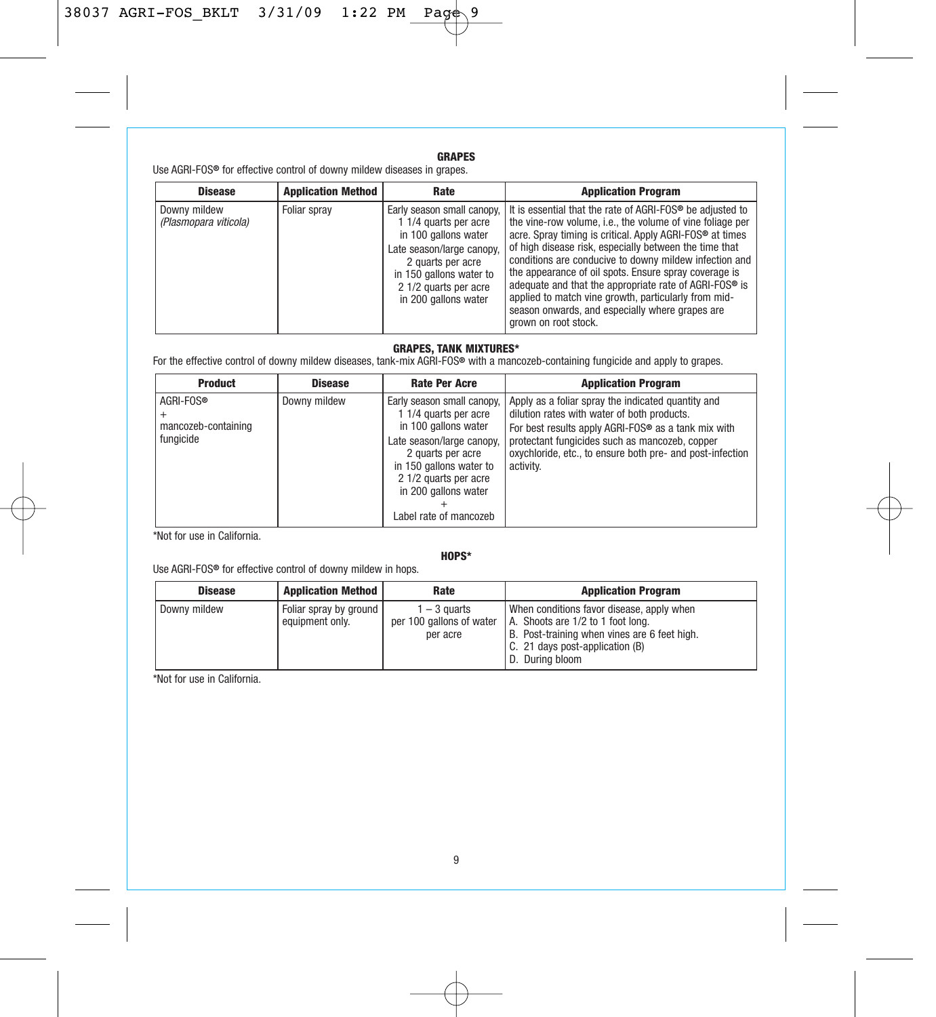# **GRAPES**

Use AGRI-FOS**®** for effective control of downy mildew diseases in grapes.

| <b>Disease</b>                        | <b>Application Method</b> | Rate                                                                                                                                                                        | <b>Application Program</b>                                                                                                                                                                                                                                                                                                                                                                                                                                                                                                                                                                                        |
|---------------------------------------|---------------------------|-----------------------------------------------------------------------------------------------------------------------------------------------------------------------------|-------------------------------------------------------------------------------------------------------------------------------------------------------------------------------------------------------------------------------------------------------------------------------------------------------------------------------------------------------------------------------------------------------------------------------------------------------------------------------------------------------------------------------------------------------------------------------------------------------------------|
| Downy mildew<br>(Plasmopara viticola) | Foliar spray              | 1 1/4 quarts per acre<br>in 100 gallons water<br>Late season/large canopy.<br>2 quarts per acre<br>in 150 gallons water to<br>2 1/2 quarts per acre<br>in 200 gallons water | Early season small canopy. I It is essential that the rate of AGRI-FOS <sup>®</sup> be adjusted to<br>the vine-row volume, i.e., the volume of vine foliage per<br>acre. Spray timing is critical. Apply AGRI-FOS <sup>®</sup> at times<br>of high disease risk, especially between the time that<br>conditions are conducive to downy mildew infection and<br>the appearance of oil spots. Ensure spray coverage is<br>adequate and that the appropriate rate of AGRI-FOS® is<br>applied to match vine growth, particularly from mid-<br>season onwards, and especially where grapes are<br>grown on root stock. |

# **GRAPES, TANK MIXTURES\***

For the effective control of downy mildew diseases, tank-mix AGRI-FOS**®** with a mancozeb-containing fungicide and apply to grapes.

| <b>Product</b>                                | <b>Disease</b> | <b>Rate Per Acre</b>                                                                                                                                                                                                                | <b>Application Program</b>                                                                                                                                                                                                                                                           |
|-----------------------------------------------|----------------|-------------------------------------------------------------------------------------------------------------------------------------------------------------------------------------------------------------------------------------|--------------------------------------------------------------------------------------------------------------------------------------------------------------------------------------------------------------------------------------------------------------------------------------|
| AGRI-FOS®<br>mancozeb-containing<br>fungicide | Downy mildew   | Early season small canopy,<br>1 1/4 quarts per acre<br>in 100 gallons water<br>Late season/large canopy,<br>2 quarts per acre<br>in 150 gallons water to<br>2 1/2 quarts per acre<br>in 200 gallons water<br>Label rate of mancozeb | Apply as a foliar spray the indicated quantity and<br>dilution rates with water of both products.<br>For best results apply AGRI-FOS® as a tank mix with<br>protectant fungicides such as mancozeb, copper<br>oxychloride, etc., to ensure both pre- and post-infection<br>activity. |

\*Not for use in California.

# **HOPS\***

Use AGRI-FOS**®** for effective control of downy mildew in hops.

| <b>Disease</b> | <b>Application Method</b>                 | Rate                                                   | <b>Application Program</b>                                                                                                                                                           |
|----------------|-------------------------------------------|--------------------------------------------------------|--------------------------------------------------------------------------------------------------------------------------------------------------------------------------------------|
| Downy mildew   | Foliar spray by ground<br>equipment only. | $1 - 3$ quarts<br>per 100 gallons of water<br>per acre | When conditions favor disease, apply when<br>A. Shoots are 1/2 to 1 foot long.<br>B. Post-training when vines are 6 feet high.<br>C. 21 days post-application (B)<br>D. During bloom |

\*Not for use in California.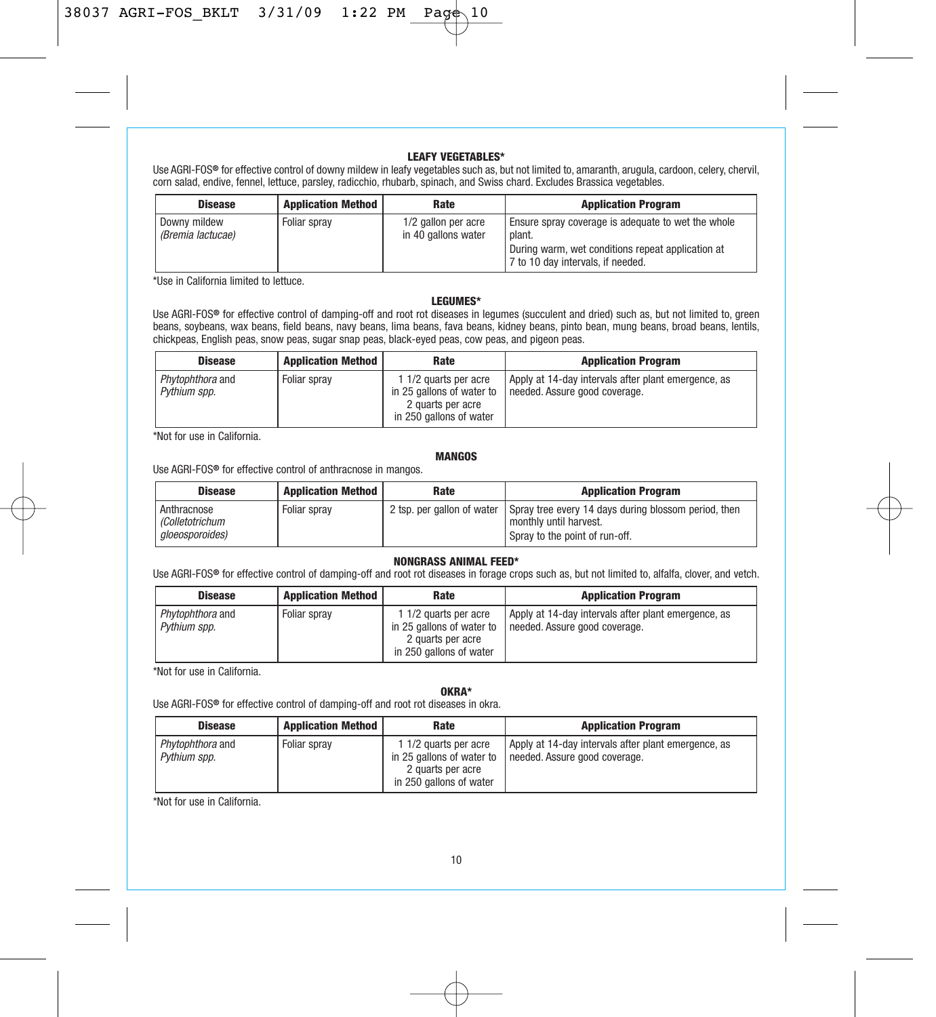#### **LEAFY VEGETABLES\***

Use AGRI-FOS**®** for effective control of downy mildew in leafy vegetables such as, but not limited to, amaranth, arugula, cardoon, celery, chervil, corn salad, endive, fennel, lettuce, parsley, radicchio, rhubarb, spinach, and Swiss chard. Excludes Brassica vegetables.

| <b>Disease</b>                    | <b>Application Method</b> | Rate                                       | <b>Application Program</b>                                                                                                                             |
|-----------------------------------|---------------------------|--------------------------------------------|--------------------------------------------------------------------------------------------------------------------------------------------------------|
| Downy mildew<br>(Bremia lactucae) | Foliar spray              | 1/2 gallon per acre<br>in 40 gallons water | Ensure spray coverage is adequate to wet the whole<br>plant.<br>During warm, wet conditions repeat application at<br>7 to 10 day intervals, if needed. |

\*Use in California limited to lettuce.

#### **LEGUMES\***

Use AGRI-FOS**®** for effective control of damping-off and root rot diseases in legumes (succulent and dried) such as, but not limited to, green beans, soybeans, wax beans, field beans, navy beans, lima beans, fava beans, kidney beans, pinto bean, mung beans, broad beans, lentils, chickpeas, English peas, snow peas, sugar snap peas, black-eyed peas, cow peas, and pigeon peas.

| <b>Disease</b>                   | <b>Application Method</b> | Rate                                                                                               | <b>Application Program</b>                                                           |
|----------------------------------|---------------------------|----------------------------------------------------------------------------------------------------|--------------------------------------------------------------------------------------|
| Phytophthora and<br>Pythium spp. | Foliar sprav              | 1 1/2 quarts per acre<br>in 25 gallons of water to<br>2 quarts per acre<br>in 250 gallons of water | Apply at 14-day intervals after plant emergence, as<br>needed. Assure good coverage. |

\*Not for use in California.

#### **MANGOS**

Use AGRI-FOS**®** for effective control of anthracnose in mangos.

| <b>Disease</b>                                    | <b>Application Method</b> | Rate | <b>Application Program</b>                                                                                                                    |
|---------------------------------------------------|---------------------------|------|-----------------------------------------------------------------------------------------------------------------------------------------------|
| Anthracnose<br>(Colletotrichum<br>aloeosporoides) | Foliar sprav              |      | 2 tsp. per gallon of water Spray tree every 14 days during blossom period, then<br>I monthly until harvest.<br>Spray to the point of run-off. |

#### **NONGRASS ANIMAL FEED\***

Use AGRI-FOS**®** for effective control of damping-off and root rot diseases in forage crops such as, but not limited to, alfalfa, clover, and vetch.

| <b>Disease</b>                   | <b>Application Method</b> | Rate                                                                                               | <b>Application Program</b>                                                           |
|----------------------------------|---------------------------|----------------------------------------------------------------------------------------------------|--------------------------------------------------------------------------------------|
| Phytophthora and<br>Pythium spp. | Foliar spray              | 1 1/2 quarts per acre<br>in 25 gallons of water to<br>2 quarts per acre<br>in 250 gallons of water | Apply at 14-day intervals after plant emergence, as<br>needed. Assure good coverage. |

\*Not for use in California.

#### **OKRA\***

Use AGRI-FOS**®** for effective control of damping-off and root rot diseases in okra.

| <b>Disease</b>                   | <b>Application Method</b> | Rate                                               | <b>Application Program</b>                                                           |
|----------------------------------|---------------------------|----------------------------------------------------|--------------------------------------------------------------------------------------|
| Phytophthora and<br>Pythium spp. | Foliar sprav              | 1 1/2 quarts per acre<br>in 25 gallons of water to | Apply at 14-day intervals after plant emergence, as<br>needed. Assure good coverage. |
|                                  |                           | 2 quarts per acre<br>in 250 gallons of water       |                                                                                      |

\*Not for use in California.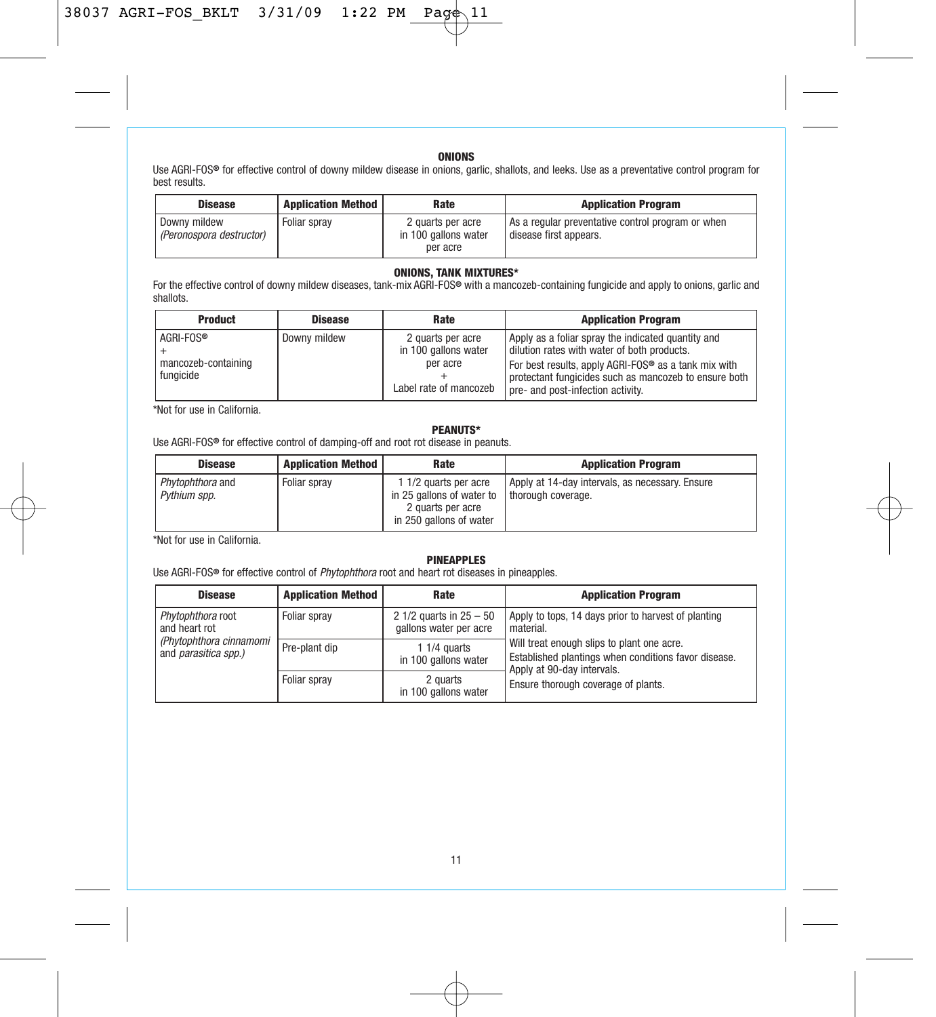# **ONIONS**

Use AGRI-FOS**®** for effective control of downy mildew disease in onions, garlic, shallots, and leeks. Use as a preventative control program for best results.

| <b>Disease</b>                           | <b>Application Method</b> | Rate                                                  | <b>Application Program</b>                                                  |
|------------------------------------------|---------------------------|-------------------------------------------------------|-----------------------------------------------------------------------------|
| Downy mildew<br>(Peronospora destructor) | Foliar sprav              | 2 quarts per acre<br>in 100 gallons water<br>per acre | As a regular preventative control program or when<br>disease first appears. |

# **ONIONS, TANK MIXTURES\***

For the effective control of downy mildew diseases, tank-mix AGRI-FOS**®** with a mancozeb-containing fungicide and apply to onions, garlic and shallots.

| <b>Product</b>                                | <b>Disease</b> | Rate                                                                            | <b>Application Program</b>                                                                                                                                                                                                                                          |
|-----------------------------------------------|----------------|---------------------------------------------------------------------------------|---------------------------------------------------------------------------------------------------------------------------------------------------------------------------------------------------------------------------------------------------------------------|
| AGRI-FOS®<br>mancozeb-containing<br>fungicide | Downy mildew   | 2 quarts per acre<br>in 100 gallons water<br>per acre<br>Label rate of mancozeb | Apply as a foliar spray the indicated quantity and<br>dilution rates with water of both products.<br>For best results, apply AGRI-FOS <sup>®</sup> as a tank mix with<br>protectant fungicides such as mancozeb to ensure both<br>pre- and post-infection activity. |

\*Not for use in California.

# **PEANUTS\***

Use AGRI-FOS**®** for effective control of damping-off and root rot disease in peanuts.

| <b>Disease</b>                   | <b>Application Method</b> | Rate                                                                                               | <b>Application Program</b>                                            |
|----------------------------------|---------------------------|----------------------------------------------------------------------------------------------------|-----------------------------------------------------------------------|
| Phytophthora and<br>Pythium spp. | Foliar sprav              | 1 1/2 quarts per acre<br>in 25 gallons of water to<br>2 quarts per acre<br>in 250 gallons of water | Apply at 14-day intervals, as necessary, Ensure<br>thorough coverage. |

\*Not for use in California.

## **PINEAPPLES**

Use AGRI-FOS**®** for effective control of Phytophthora root and heart rot diseases in pineapples.

| <b>Disease</b>                                                                               | <b>Application Method</b> | Rate                                                | <b>Application Program</b>                                                                                                       |
|----------------------------------------------------------------------------------------------|---------------------------|-----------------------------------------------------|----------------------------------------------------------------------------------------------------------------------------------|
| Phytophthora root<br>and heart rot<br>(Phytophthora cinnamomi<br>and <i>parasitica spp.)</i> | Foliar spray              | 2 1/2 quarts in $25 - 50$<br>gallons water per acre | Apply to tops, 14 days prior to harvest of planting<br>material.                                                                 |
|                                                                                              | Pre-plant dip             | 1 $1/4$ quarts<br>in 100 gallons water              | Will treat enough slips to plant one acre.<br>Established plantings when conditions favor disease.<br>Apply at 90-day intervals. |
|                                                                                              | Foliar sprav              | 2 quarts<br>in 100 gallons water                    | Ensure thorough coverage of plants.                                                                                              |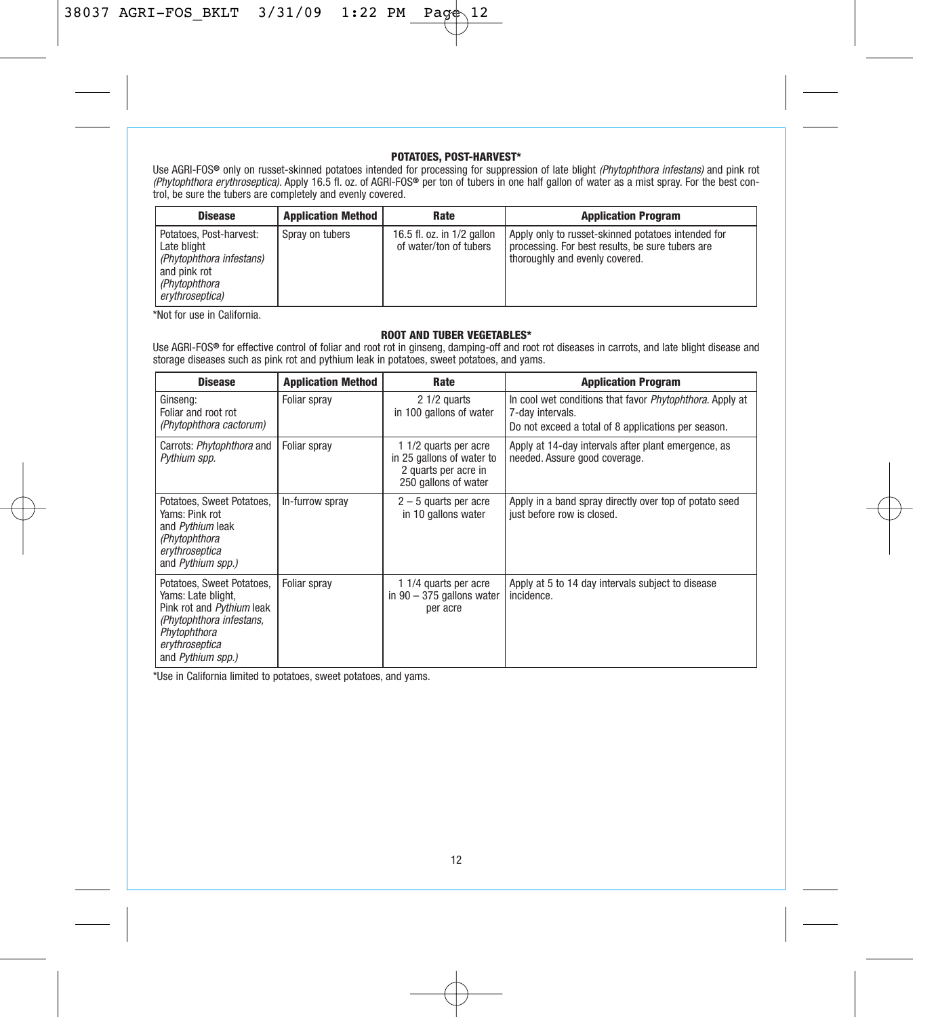#### **POTATOES, POST-HARVEST\***

Use AGRI-FOS® only on russet-skinned potatoes intended for processing for suppression of late blight *(Phytophthora infestans)* and pink rot<br>*(Phytophthora erythroseptica)*. Apply 16.5 fl. oz. of AGRI-FOS® per ton of tuber

| <b>Disease</b>                                                                                                         | <b>Application Method</b> | Rate                                                 | <b>Application Program</b>                                                                                                               |
|------------------------------------------------------------------------------------------------------------------------|---------------------------|------------------------------------------------------|------------------------------------------------------------------------------------------------------------------------------------------|
| Potatoes. Post-harvest:<br>Late blight<br>(Phytophthora infestans)<br>and pink rot<br>(Phytophthora<br>erythroseptica) | Spray on tubers           | 16.5 fl. oz. in 1/2 gallon<br>of water/ton of tubers | Apply only to russet-skinned potatoes intended for<br>processing. For best results, be sure tubers are<br>thoroughly and evenly covered. |

\*Not for use in California.

#### **ROOT AND TUBER VEGETABLES\***

Use AGRI-FOS**®** for effective control of foliar and root rot in ginseng, damping-off and root rot diseases in carrots, and late blight disease and storage diseases such as pink rot and pythium leak in potatoes, sweet potatoes, and yams.

| <b>Disease</b>                                                                                                                                                  | <b>Application Method</b> | Rate                                                                                               | <b>Application Program</b>                                                                                                          |
|-----------------------------------------------------------------------------------------------------------------------------------------------------------------|---------------------------|----------------------------------------------------------------------------------------------------|-------------------------------------------------------------------------------------------------------------------------------------|
| Ginseng:<br>Foliar and root rot<br>(Phytophthora cactorum)                                                                                                      | Foliar spray              | 2 1/2 quarts<br>in 100 gallons of water                                                            | In cool wet conditions that favor Phytophthora. Apply at<br>7-day intervals.<br>Do not exceed a total of 8 applications per season. |
| Carrots: Phytophthora and<br>Pythium spp.                                                                                                                       | Foliar spray              | 1 1/2 quarts per acre<br>in 25 gallons of water to<br>2 quarts per acre in<br>250 gallons of water | Apply at 14-day intervals after plant emergence, as<br>needed. Assure good coverage.                                                |
| Potatoes, Sweet Potatoes,<br>Yams: Pink rot<br>and Pythium leak<br>(Phytophthora<br>erythroseptica<br>and Pythium spp.)                                         | In-furrow spray           | $2 - 5$ quarts per acre<br>in 10 gallons water                                                     | Apply in a band spray directly over top of potato seed<br>just before row is closed.                                                |
| Potatoes, Sweet Potatoes,<br>Yams: Late blight.<br>Pink rot and Pythium leak<br>(Phytophthora infestans,<br>Phytophthora<br>erythroseptica<br>and Pythium spp.) | Foliar spray              | 1 1/4 quarts per acre<br>in $90 - 375$ gallons water<br>per acre                                   | Apply at 5 to 14 day intervals subject to disease<br>incidence.                                                                     |

\*Use in California limited to potatoes, sweet potatoes, and yams.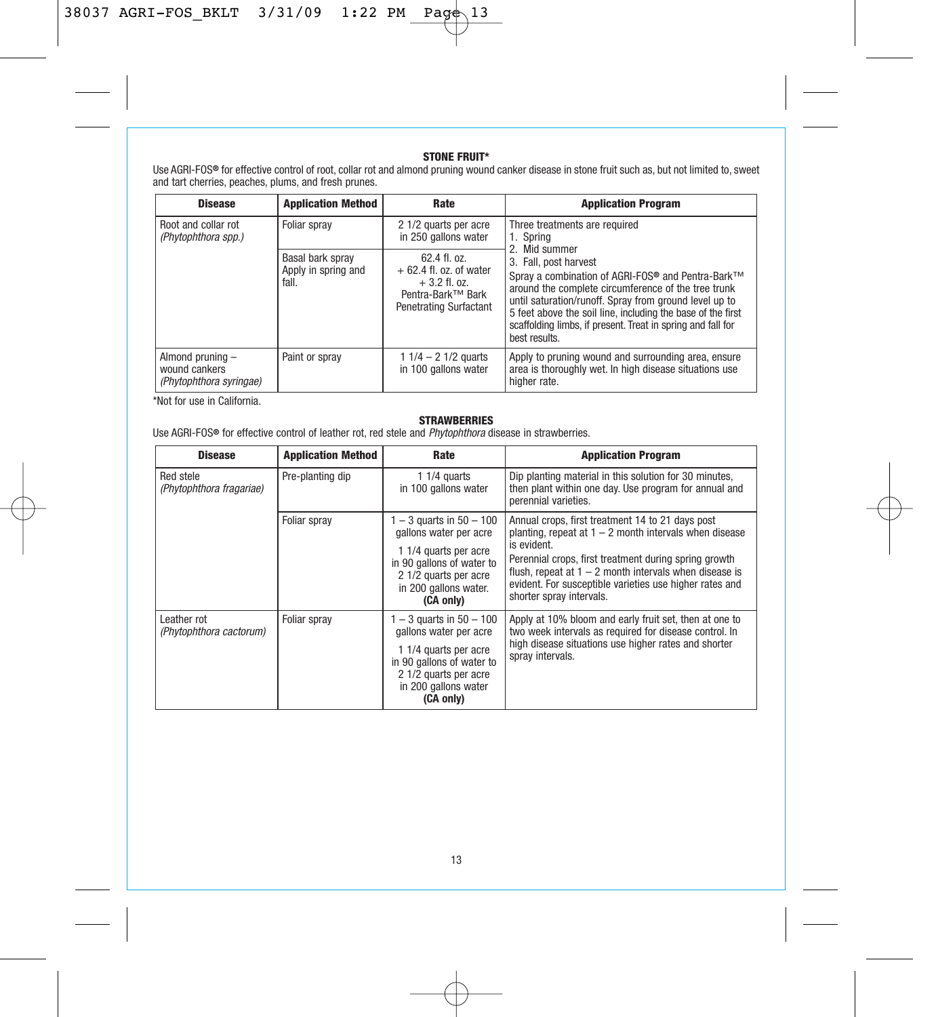**STONE FRUIT\*** Use AGRI-FOS**®** for effective control of root, collar rot and almond pruning wound canker disease in stone fruit such as, but not limited to, sweet and tart cherries, peaches, plums, and fresh prunes.

| <b>Disease</b>                                               | <b>Application Method</b>                        | Rate                                                                                                           | <b>Application Program</b>                                                                                                                                                                                                                                                                                                                             |
|--------------------------------------------------------------|--------------------------------------------------|----------------------------------------------------------------------------------------------------------------|--------------------------------------------------------------------------------------------------------------------------------------------------------------------------------------------------------------------------------------------------------------------------------------------------------------------------------------------------------|
| Root and collar rot<br>(Phytophthora spp.)                   | Foliar spray                                     | 2 1/2 quarts per acre<br>in 250 gallons water                                                                  | Three treatments are required<br>1. Spring<br>2. Mid summer                                                                                                                                                                                                                                                                                            |
|                                                              | Basal bark spray<br>Apply in spring and<br>fall. | $62.4$ fl. $0z$ .<br>$+62.4$ fl. oz. of water<br>$+3.2$ fl. oz.<br>Pentra-Bark™ Bark<br>Penetrating Surfactant | 3. Fall, post harvest<br>Spray a combination of AGRI-FOS <sup>®</sup> and Pentra-Bark™<br>around the complete circumference of the tree trunk<br>until saturation/runoff. Spray from ground level up to<br>5 feet above the soil line, including the base of the first<br>scaffolding limbs, if present. Treat in spring and fall for<br>best results. |
| Almond pruning -<br>wound cankers<br>(Phytophthora syringae) | Paint or spray                                   | 1 $1/4 - 2$ 1/2 quarts<br>in 100 gallons water                                                                 | Apply to pruning wound and surrounding area, ensure<br>area is thoroughly wet. In high disease situations use<br>higher rate.                                                                                                                                                                                                                          |

\*Not for use in California.

# **STRAWBERRIES**

Use AGRI-FOS**®** for effective control of leather rot, red stele and Phytophthora disease in strawberries.

| <b>Disease</b>                         | <b>Application Method</b> | Rate                                                                                                                                                                        | <b>Application Program</b>                                                                                                                                                                                                                                                                                                              |
|----------------------------------------|---------------------------|-----------------------------------------------------------------------------------------------------------------------------------------------------------------------------|-----------------------------------------------------------------------------------------------------------------------------------------------------------------------------------------------------------------------------------------------------------------------------------------------------------------------------------------|
| Red stele<br>(Phytophthora fragariae)  | Pre-planting dip          | 1 $1/4$ quarts<br>in 100 gallons water                                                                                                                                      | Dip planting material in this solution for 30 minutes,<br>then plant within one day. Use program for annual and<br>perennial varieties.                                                                                                                                                                                                 |
|                                        | Foliar spray              | $1 - 3$ quarts in $50 - 100$<br>gallons water per acre<br>1 1/4 quarts per acre<br>in 90 gallons of water to<br>2 1/2 quarts per acre<br>in 200 gallons water.<br>(CA only) | Annual crops, first treatment 14 to 21 days post<br>planting, repeat at $1 - 2$ month intervals when disease<br>is evident.<br>Perennial crops, first treatment during spring growth<br>flush, repeat at $1 - 2$ month intervals when disease is<br>evident. For susceptible varieties use higher rates and<br>shorter spray intervals. |
| Leather rot<br>(Phytophthora cactorum) | Foliar spray              | $1 - 3$ quarts in $50 - 100$<br>gallons water per acre<br>1 1/4 quarts per acre<br>in 90 gallons of water to<br>2 1/2 quarts per acre<br>in 200 gallons water<br>(CA only)  | Apply at 10% bloom and early fruit set, then at one to<br>two week intervals as required for disease control. In<br>high disease situations use higher rates and shorter<br>spray intervals.                                                                                                                                            |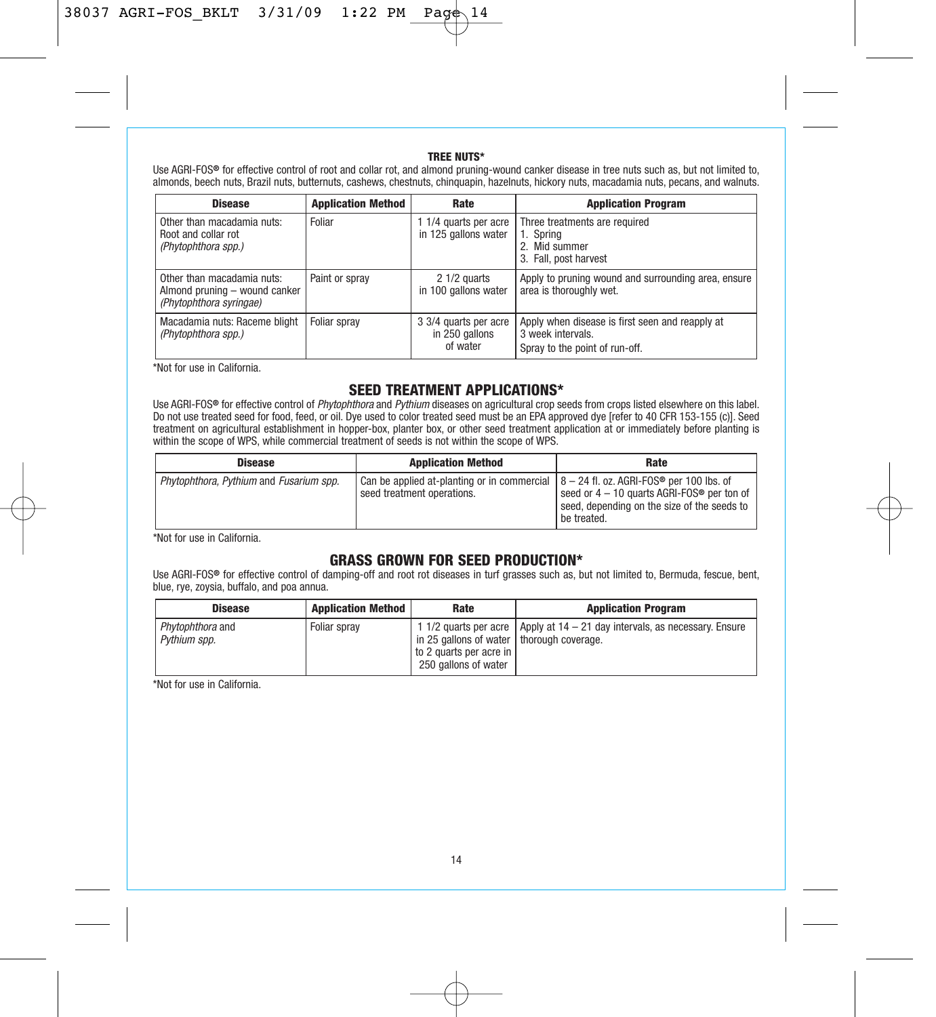### **TREE NUTS\***

Use AGRI-FOS**®** for effective control of root and collar rot, and almond pruning-wound canker disease in tree nuts such as, but not limited to, almonds, beech nuts, Brazil nuts, butternuts, cashews, chestnuts, chinquapin, hazelnuts, hickory nuts, macadamia nuts, pecans, and walnuts.

| <b>Disease</b>                                                                         | <b>Application Method</b> | Rate                                                | <b>Application Program</b>                                                                             |
|----------------------------------------------------------------------------------------|---------------------------|-----------------------------------------------------|--------------------------------------------------------------------------------------------------------|
| Other than macadamia nuts:<br>Root and collar rot<br>(Phytophthora spp.)               | Foliar                    | 1 1/4 quarts per acre<br>in 125 gallons water       | Three treatments are required<br>1. Spring<br>2. Mid summer<br>3. Fall, post harvest                   |
| Other than macadamia nuts:<br>Almond pruning - wound canker<br>(Phytophthora syringae) | Paint or spray            | 2 1/2 quarts<br>in 100 gallons water                | Apply to pruning wound and surrounding area, ensure<br>area is thoroughly wet.                         |
| Macadamia nuts: Raceme blight<br>(Phytophthora spp.)                                   | Foliar spray              | 3 3/4 quarts per acre<br>in 250 gallons<br>of water | Apply when disease is first seen and reapply at<br>3 week intervals.<br>Spray to the point of run-off. |

\*Not for use in California.

# **SEED TREATMENT APPLICATIONS\***

Use AGRI-FOS® for effective control of *Phytophthora* and *Pythium* diseases on agricultural crop seeds from crops listed elsewhere on this label.<br>Do not use treated seed for food, feed, or oil. Dye used to color treated s treatment on agricultural establishment in hopper-box, planter box, or other seed treatment application at or immediately before planting is within the scope of WPS, while commercial treatment of seeds is not within the scope of WPS.

| <b>Disease</b>                          | <b>Application Method</b>                                                                                                              | Rate                                                                                                                 |
|-----------------------------------------|----------------------------------------------------------------------------------------------------------------------------------------|----------------------------------------------------------------------------------------------------------------------|
| Phytophthora, Pythium and Fusarium spp. | Can be applied at-planting or in commercial $\vert 8 - 24$ fl. oz. AGRI-FOS <sup>®</sup> per 100 lbs. of<br>seed treatment operations. | seed or 4 – 10 quarts AGRI-FOS <sup>®</sup> per ton of<br>seed, depending on the size of the seeds to<br>be treated. |

\*Not for use in California.

# **GRASS GROWN FOR SEED PRODUCTION\***

Use AGRI-FOS**®** for effective control of damping-off and root rot diseases in turf grasses such as, but not limited to, Bermuda, fescue, bent, blue, rye, zoysia, buffalo, and poa annua.

| <b>Disease</b>                   | <b>Application Method</b> | Rate                                                                                           | <b>Application Program</b>                                                    |
|----------------------------------|---------------------------|------------------------------------------------------------------------------------------------|-------------------------------------------------------------------------------|
| Phytophthora and<br>Pythium spp. | Foliar spray              | in 25 gallons of water   thorough coverage.<br>to 2 quarts per acre in<br>250 gallons of water | 11/2 quarts per acre   Apply at $14 - 21$ day intervals, as necessary. Ensure |

\*Not for use in California.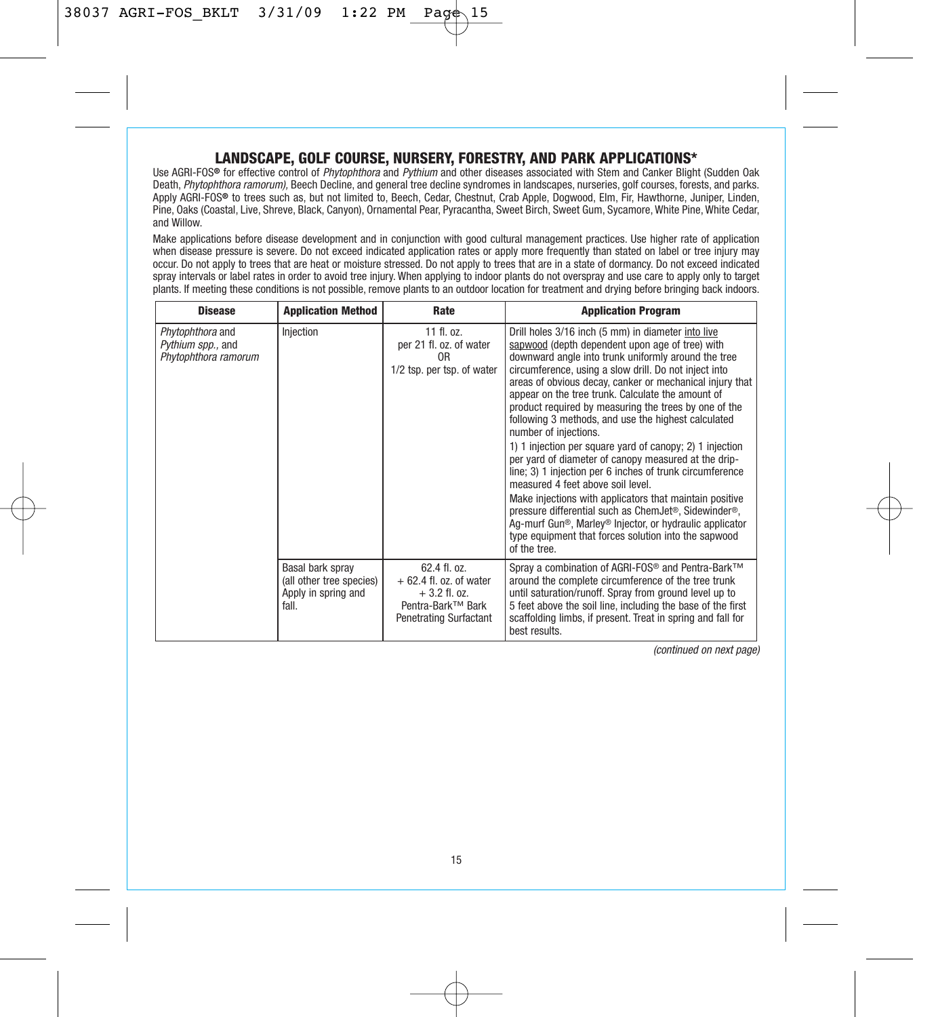# **LANDSCAPE, GOLF COURSE, NURSERY, FORESTRY, AND PARK APPLICATIONS\***

Use AGRI-FOS**®** for effective control of Phytophthora and Pythium and other diseases associated with Stem and Canker Blight (Sudden Oak Death, Phytophthora ramorum), Beech Decline, and general tree decline syndromes in landscapes, nurseries, golf courses, forests, and parks. Apply AGRI-FOS**®** to trees such as, but not limited to, Beech, Cedar, Chestnut, Crab Apple, Dogwood, Elm, Fir, Hawthorne, Juniper, Linden, Pine, Oaks (Coastal, Live, Shreve, Black, Canyon), Ornamental Pear, Pyracantha, Sweet Birch, Sweet Gum, Sycamore, White Pine, White Cedar, and Willow.

Make applications before disease development and in conjunction with good cultural management practices. Use higher rate of application when disease pressure is severe. Do not exceed indicated application rates or apply more frequently than stated on label or tree injury may occur. Do not apply to trees that are heat or moisture stressed. Do not apply to trees that are in a state of dormancy. Do not exceed indicated spray intervals or label rates in order to avoid tree injury. When applying to indoor plants do not overspray and use care to apply only to target plants. If meeting these conditions is not possible, remove plants to an outdoor location for treatment and drying before bringing back indoors.

| <b>Disease</b>                                                | <b>Application Method</b>                                                    | Rate                                                                                                                         | <b>Application Program</b>                                                                                                                                                                                                                                                                                                                                                                                                                                                                                                                                                                                                                                                                                                                                                                                                                                                                                                                                                           |
|---------------------------------------------------------------|------------------------------------------------------------------------------|------------------------------------------------------------------------------------------------------------------------------|--------------------------------------------------------------------------------------------------------------------------------------------------------------------------------------------------------------------------------------------------------------------------------------------------------------------------------------------------------------------------------------------------------------------------------------------------------------------------------------------------------------------------------------------------------------------------------------------------------------------------------------------------------------------------------------------------------------------------------------------------------------------------------------------------------------------------------------------------------------------------------------------------------------------------------------------------------------------------------------|
| Phytophthora and<br>Pythium spp., and<br>Phytophthora ramorum | Injection                                                                    | 11 fl. oz.<br>per 21 fl. oz. of water<br>0R<br>1/2 tsp. per tsp. of water                                                    | Drill holes 3/16 inch (5 mm) in diameter into live<br>sapwood (depth dependent upon age of tree) with<br>downward angle into trunk uniformly around the tree<br>circumference, using a slow drill. Do not inject into<br>areas of obvious decay, canker or mechanical injury that<br>appear on the tree trunk. Calculate the amount of<br>product required by measuring the trees by one of the<br>following 3 methods, and use the highest calculated<br>number of injections.<br>1) 1 injection per square yard of canopy; 2) 1 injection<br>per yard of diameter of canopy measured at the drip-<br>line; 3) 1 injection per 6 inches of trunk circumference<br>measured 4 feet above soil level.<br>Make injections with applicators that maintain positive<br>pressure differential such as ChemJet <sup>®</sup> , Sidewinder <sup>®</sup> ,<br>Ag-murf Gun®. Marlev® Iniector, or hydraulic applicator<br>type equipment that forces solution into the sapwood<br>of the tree. |
|                                                               | Basal bark spray<br>(all other tree species)<br>Apply in spring and<br>fall. | 62.4 fl. oz.<br>$+62.4$ fl. oz. of water<br>$+3.2$ fl. oz.<br>Pentra-Bark <sup>™</sup> Bark<br><b>Penetrating Surfactant</b> | Spray a combination of AGRI-FOS <sup>®</sup> and Pentra-Bark™<br>around the complete circumference of the tree trunk<br>until saturation/runoff. Spray from ground level up to<br>5 feet above the soil line, including the base of the first<br>scaffolding limbs, if present. Treat in spring and fall for<br>best results.                                                                                                                                                                                                                                                                                                                                                                                                                                                                                                                                                                                                                                                        |

(continued on next page)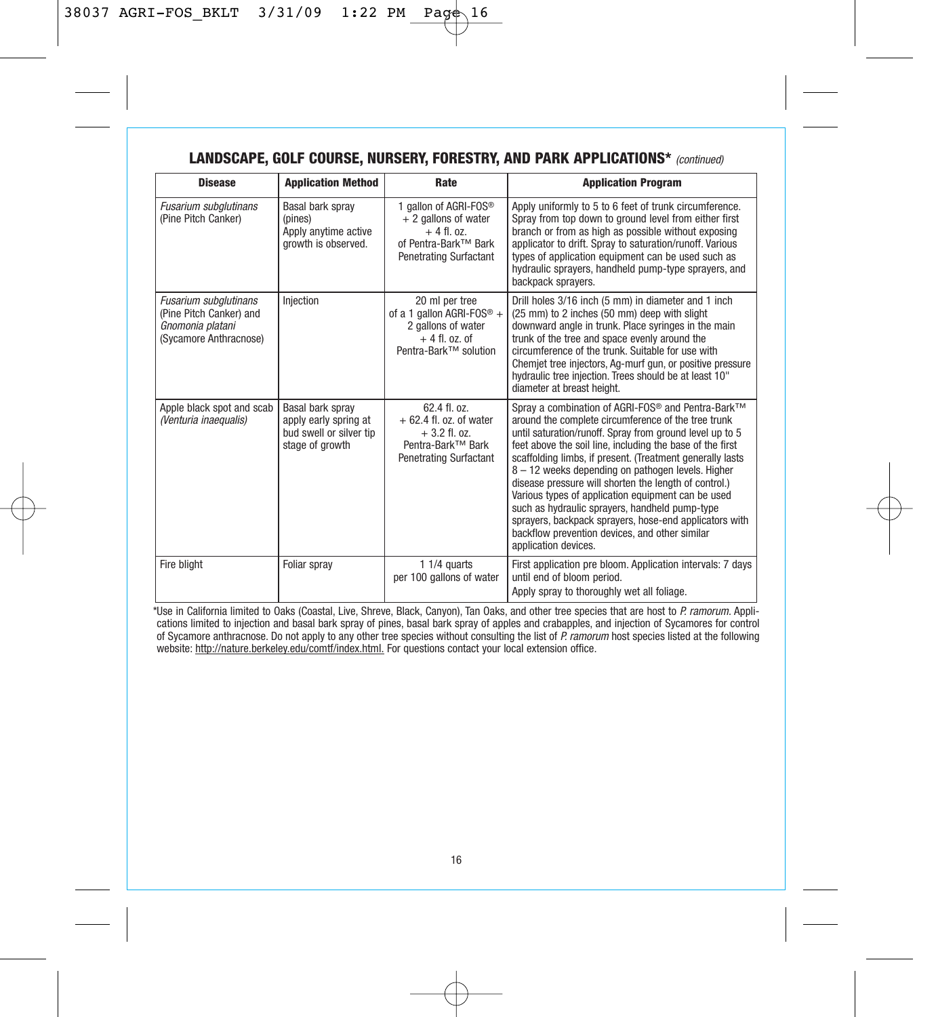| <b>Disease</b>                                                                                 | <b>Application Method</b>                                                               | Rate                                                                                                                      | <b>Application Program</b>                                                                                                                                                                                                                                                                                                                                                                                                                                                                                                                                                                                                                                           |
|------------------------------------------------------------------------------------------------|-----------------------------------------------------------------------------------------|---------------------------------------------------------------------------------------------------------------------------|----------------------------------------------------------------------------------------------------------------------------------------------------------------------------------------------------------------------------------------------------------------------------------------------------------------------------------------------------------------------------------------------------------------------------------------------------------------------------------------------------------------------------------------------------------------------------------------------------------------------------------------------------------------------|
| <b>Fusarium subglutinans</b><br>(Pine Pitch Canker)                                            | Basal bark spray<br>(pines)<br>Apply anytime active<br>growth is observed.              | 1 gallon of AGRI-FOS®<br>+ 2 gallons of water<br>$+4$ fl. $0z$ .<br>of Pentra-Bark™ Bark<br><b>Penetrating Surfactant</b> | Apply uniformly to 5 to 6 feet of trunk circumference.<br>Spray from top down to ground level from either first<br>branch or from as high as possible without exposing<br>applicator to drift. Spray to saturation/runoff. Various<br>types of application equipment can be used such as<br>hydraulic sprayers, handheld pump-type sprayers, and<br>backpack spravers.                                                                                                                                                                                                                                                                                               |
| Fusarium subglutinans<br>(Pine Pitch Canker) and<br>Gnomonia platani<br>(Sycamore Anthracnose) | Iniection                                                                               | 20 ml per tree<br>of a 1 gallon AGRI-FOS <sup>®</sup> +<br>2 gallons of water<br>$+4$ fl. oz. of<br>Pentra-Bark™ solution | Drill holes 3/16 inch (5 mm) in diameter and 1 inch<br>(25 mm) to 2 inches (50 mm) deep with slight<br>downward angle in trunk. Place syringes in the main<br>trunk of the tree and space evenly around the<br>circumference of the trunk. Suitable for use with<br>Chemiet tree injectors, Ag-murf gun, or positive pressure<br>hydraulic tree injection. Trees should be at least 10"<br>diameter at breast height.                                                                                                                                                                                                                                                |
| Apple black spot and scab<br>(Venturia inaequalis)                                             | Basal bark spray<br>apply early spring at<br>bud swell or silver tip<br>stage of growth | 62.4 fl. oz.<br>$+62.4$ fl. oz. of water<br>$+3.2$ fl. oz.<br>Pentra-Bark™ Bark<br><b>Penetrating Surfactant</b>          | Spray a combination of AGRI-FOS <sup>®</sup> and Pentra-Bark™<br>around the complete circumference of the tree trunk<br>until saturation/runoff. Spray from ground level up to 5<br>feet above the soil line, including the base of the first<br>scaffolding limbs, if present. (Treatment generally lasts<br>8 - 12 weeks depending on pathogen levels. Higher<br>disease pressure will shorten the length of control.)<br>Various types of application equipment can be used<br>such as hydraulic sprayers, handheld pump-type<br>sprayers, backpack sprayers, hose-end applicators with<br>backflow prevention devices, and other similar<br>application devices. |
| Fire blight                                                                                    | Foliar spray                                                                            | $11/4$ quarts<br>per 100 gallons of water                                                                                 | First application pre bloom. Application intervals: 7 days<br>until end of bloom period.<br>Apply spray to thoroughly wet all foliage.                                                                                                                                                                                                                                                                                                                                                                                                                                                                                                                               |

# LANDSCAPE, GOLF COURSE, NURSERY, FORESTRY, AND PARK APPLICATIONS\* (continued)

\*Use in California limited to Oaks (Coastal, Live, Shreve, Black, Canyon), Tan Oaks, and other tree species that are host to P. ramorum. Applications limited to injection and basal bark spray of pines, basal bark spray of apples and crabapples, and injection of Sycamores for control<br>of Sycamore anthracnose. Do not apply to any other tree species without consulti website: http://nature.berkeley.edu/comtf/index.html. For questions contact your local extension office.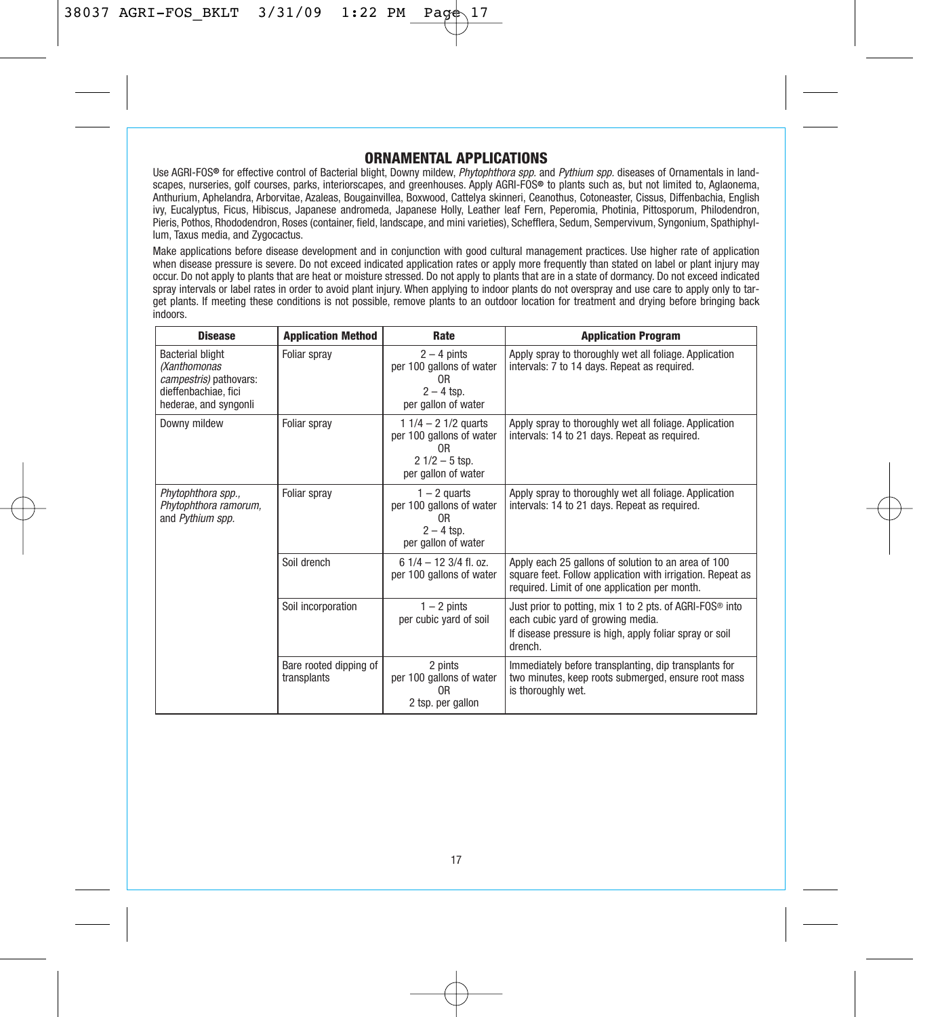# **ORNAMENTAL APPLICATIONS**

Use AGRI-FOS<sup>®</sup> for effective control of Bacterial blight, Downy mildew, Phytophthora spp. and Pythium spp. diseases of Ornamentals in landscapes, nurseries, golf courses, parks, interiorscapes, and greenhouses. Apply AGRI-FOS**®** to plants such as, but not limited to, Aglaonema, Anthurium, Aphelandra, Arborvitae, Azaleas, Bougainvillea, Boxwood, Cattelya skinneri, Ceanothus, Cotoneaster, Cissus, Diffenbachia, English ivy, Eucalyptus, Ficus, Hibiscus, Japanese andromeda, Japanese Holly, Leather leaf Fern, Peperomia, Photinia, Pittosporum, Philodendron, Pieris, Pothos, Rhododendron, Roses (container, field, landscape, and mini varieties), Schefflera, Sedum, Sempervivum, Syngonium, Spathiphyllum, Taxus media, and Zygocactus.

Make applications before disease development and in conjunction with good cultural management practices. Use higher rate of application when disease pressure is severe. Do not exceed indicated application rates or apply more frequently than stated on label or plant injury may occur. Do not apply to plants that are heat or moisture stressed. Do not apply to plants that are in a state of dormancy. Do not exceed indicated spray intervals or label rates in order to avoid plant injury. When applying to indoor plants do not overspray and use care to apply only to target plants. If meeting these conditions is not possible, remove plants to an outdoor location for treatment and drying before bringing back indoors.

| <b>Disease</b>                                                                                                     | <b>Application Method</b>             | Rate                                                                                                           | <b>Application Program</b>                                                                                                                                                      |
|--------------------------------------------------------------------------------------------------------------------|---------------------------------------|----------------------------------------------------------------------------------------------------------------|---------------------------------------------------------------------------------------------------------------------------------------------------------------------------------|
| <b>Bacterial blight</b><br>(Xanthomonas<br>campestris) pathovars:<br>dieffenbachiae, fici<br>hederae, and syngonli | Foliar spray                          | $2 - 4$ pints<br>per 100 gallons of water<br>0 <sub>R</sub><br>$2 - 4$ tsp.<br>per gallon of water             | Apply spray to thoroughly wet all foliage. Application<br>intervals: 7 to 14 days. Repeat as required.                                                                          |
| Downy mildew                                                                                                       | Foliar spray                          | 1 $1/4 - 2$ 1/2 quarts<br>per 100 gallons of water<br>0 <sub>R</sub><br>$21/2 - 5$ tsp.<br>per gallon of water | Apply spray to thoroughly wet all foliage. Application<br>intervals: 14 to 21 days. Repeat as required.                                                                         |
| Phytophthora spp.,<br>Phytophthora ramorum,<br>and Pythium spp.                                                    | Foliar spray                          | $1 - 2$ quarts<br>per 100 gallons of water<br>0R<br>$2 - 4$ tsp.<br>per gallon of water                        | Apply spray to thoroughly wet all foliage. Application<br>intervals: 14 to 21 days. Repeat as required.                                                                         |
|                                                                                                                    | Soil drench                           | $61/4 - 123/4$ fl. oz.<br>per 100 gallons of water                                                             | Apply each 25 gallons of solution to an area of 100<br>square feet. Follow application with irrigation. Repeat as<br>required. Limit of one application per month.              |
|                                                                                                                    | Soil incorporation                    | $1 - 2$ pints<br>per cubic yard of soil                                                                        | Just prior to potting, mix 1 to 2 pts. of AGRI-FOS <sup>®</sup> into<br>each cubic yard of growing media.<br>If disease pressure is high, apply foliar spray or soil<br>drench. |
|                                                                                                                    | Bare rooted dipping of<br>transplants | 2 pints<br>per 100 gallons of water<br>0 <sub>R</sub><br>2 tsp. per gallon                                     | Immediately before transplanting, dip transplants for<br>two minutes, keep roots submerged, ensure root mass<br>is thoroughly wet.                                              |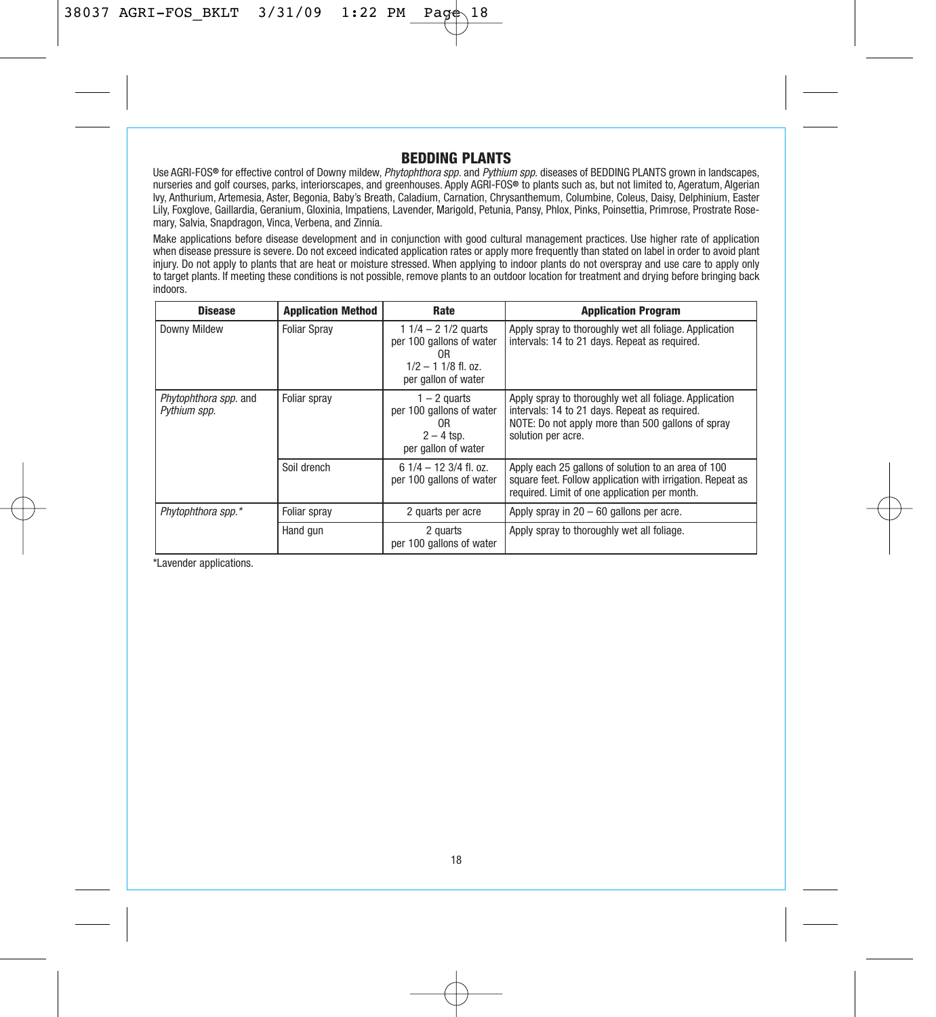# **BEDDING PLANTS**

Use AGRI-FOS**®** for effective control of Downy mildew, Phytophthora spp. and Pythium spp. diseases of BEDDING PLANTS grown in landscapes, nurseries and golf courses, parks, interiorscapes, and greenhouses. Apply AGRI-FOS**®** to plants such as, but not limited to, Ageratum, Algerian lvy, Anthurium, Artemesia, Aster, Begonia, Baby's Breath, Caladium, Carnation, Chrysanthemum, Columbine, Coleus, Daisy, Delphinium, Easter<br>Lily, Foxglove, Gaillardia, Geranium, Gloxinia, Impatiens, Lavender, Marigold, Petu mary, Salvia, Snapdragon, Vinca, Verbena, and Zinnia.

Make applications before disease development and in conjunction with good cultural management practices. Use higher rate of application when disease pressure is severe. Do not exceed indicated application rates or apply more frequently than stated on label in order to avoid plant injury. Do not apply to plants that are heat or moisture stressed. When applying to indoor plants do not overspray and use care to apply only to target plants. If meeting these conditions is not possible, remove plants to an outdoor location for treatment and drying before bringing back indoors.

| <b>Disease</b>                        | <b>Application Method</b> | Rate                                                                                                    | <b>Application Program</b>                                                                                                                                                         |
|---------------------------------------|---------------------------|---------------------------------------------------------------------------------------------------------|------------------------------------------------------------------------------------------------------------------------------------------------------------------------------------|
| Downy Mildew                          | <b>Foliar Spray</b>       | 1 $1/4 - 2$ 1/2 quarts<br>per 100 gallons of water<br>0R<br>$1/2 - 11/8$ fl. oz.<br>per gallon of water | Apply spray to thoroughly wet all foliage. Application<br>intervals: 14 to 21 days. Repeat as required.                                                                            |
| Phytophthora spp. and<br>Pythium spp. | Foliar spray              | $1 - 2$ quarts<br>per 100 gallons of water<br>0R<br>$2 - 4$ tsp.<br>per gallon of water                 | Apply spray to thoroughly wet all foliage. Application<br>intervals: 14 to 21 days. Repeat as required.<br>NOTE: Do not apply more than 500 gallons of spray<br>solution per acre. |
|                                       | Soil drench               | $61/4 - 123/4$ fl. oz.<br>per 100 gallons of water                                                      | Apply each 25 gallons of solution to an area of 100<br>square feet. Follow application with irrigation. Repeat as<br>required. Limit of one application per month.                 |
| Phytophthora spp.*                    | Foliar spray              | 2 quarts per acre                                                                                       | Apply spray in $20 - 60$ gallons per acre.                                                                                                                                         |
|                                       | Hand gun                  | 2 quarts<br>per 100 gallons of water                                                                    | Apply spray to thoroughly wet all foliage.                                                                                                                                         |

\*Lavender applications.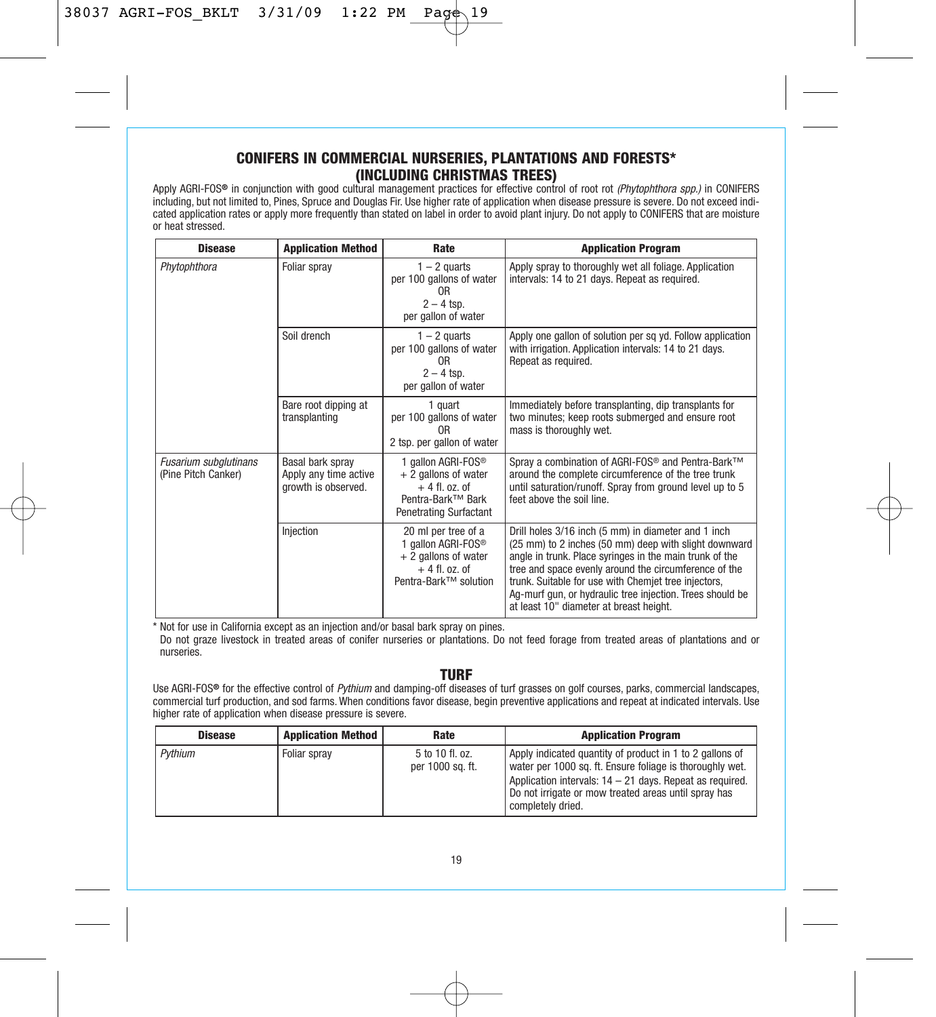# **CONIFERS IN COMMERCIAL NURSERIES, PLANTATIONS AND FORESTS\* (INCLUDING CHRISTMAS TREES)**

Apply AGRI-FOS**®** in conjunction with good cultural management practices for effective control of root rot (Phytophthora spp.) in CONIFERS including, but not limited to, Pines, Spruce and Douglas Fir. Use higher rate of application when disease pressure is severe. Do not exceed indicated application rates or apply more frequently than stated on label in order to avoid plant injury. Do not apply to CONIFERS that are moisture or heat stressed.

| <b>Disease</b>                               | <b>Application Method</b>                                        | Rate                                                                                                                             | <b>Application Program</b>                                                                                                                                                                                                                                                                                                                                                                       |
|----------------------------------------------|------------------------------------------------------------------|----------------------------------------------------------------------------------------------------------------------------------|--------------------------------------------------------------------------------------------------------------------------------------------------------------------------------------------------------------------------------------------------------------------------------------------------------------------------------------------------------------------------------------------------|
| Phytophthora                                 | Foliar spray                                                     | $1 - 2$ quarts<br>per 100 gallons of water<br>0R<br>$2 - 4$ tsp.<br>per gallon of water                                          | Apply spray to thoroughly wet all foliage. Application<br>intervals: 14 to 21 days. Repeat as required.                                                                                                                                                                                                                                                                                          |
|                                              | Soil drench                                                      | $1 - 2$ quarts<br>per 100 gallons of water<br>0 <sub>R</sub><br>$2 - 4$ tsp.<br>per gallon of water                              | Apply one gallon of solution per sq yd. Follow application<br>with irrigation. Application intervals: 14 to 21 days.<br>Repeat as required.                                                                                                                                                                                                                                                      |
|                                              | Bare root dipping at<br>transplanting                            | 1 quart<br>per 100 gallons of water<br>0 <sub>R</sub><br>2 tsp. per gallon of water                                              | Immediately before transplanting, dip transplants for<br>two minutes; keep roots submerged and ensure root<br>mass is thoroughly wet.                                                                                                                                                                                                                                                            |
| Fusarium subglutinans<br>(Pine Pitch Canker) | Basal bark spray<br>Apply any time active<br>growth is observed. | 1 gallon AGRI-FOS <sup>®</sup><br>$+2$ gallons of water<br>$+4$ fl. oz. of<br>Pentra-Bark™ Bark<br><b>Penetrating Surfactant</b> | Spray a combination of AGRI-FOS <sup>®</sup> and Pentra-Bark <sup>™</sup><br>around the complete circumference of the tree trunk<br>until saturation/runoff. Spray from ground level up to 5<br>feet above the soil line.                                                                                                                                                                        |
|                                              | Injection                                                        | 20 ml per tree of a<br>1 gallon AGRI-FOS <sup>®</sup><br>$+2$ gallons of water<br>$+4$ fl. oz. of<br>Pentra-Bark™ solution       | Drill holes 3/16 inch (5 mm) in diameter and 1 inch<br>(25 mm) to 2 inches (50 mm) deep with slight downward<br>angle in trunk. Place syringes in the main trunk of the<br>tree and space evenly around the circumference of the<br>trunk. Suitable for use with Chemjet tree injectors,<br>Ag-murf gun, or hydraulic tree injection. Trees should be<br>at least 10" diameter at breast height. |

\* Not for use in California except as an injection and/or basal bark spray on pines.

Do not graze livestock in treated areas of conifer nurseries or plantations. Do not feed forage from treated areas of plantations and or nurseries.

#### **TURF**

Use AGRI-FOS**®** for the effective control of Pythium and damping-off diseases of turf grasses on golf courses, parks, commercial landscapes, commercial turf production, and sod farms. When conditions favor disease, begin preventive applications and repeat at indicated intervals. Use higher rate of application when disease pressure is severe.

| <b>Disease</b> | <b>Application Method</b> | Rate                                | <b>Application Program</b>                                                                                                                                                                                                                                    |
|----------------|---------------------------|-------------------------------------|---------------------------------------------------------------------------------------------------------------------------------------------------------------------------------------------------------------------------------------------------------------|
| Pvthium        | Foliar sprav              | 5 to 10 fl. oz.<br>per 1000 sq. ft. | Apply indicated quantity of product in 1 to 2 gallons of<br>water per 1000 sq. ft. Ensure foliage is thoroughly wet.<br>Application intervals: 14 - 21 days. Repeat as required.<br>Do not irrigate or mow treated areas until spray has<br>completely dried. |